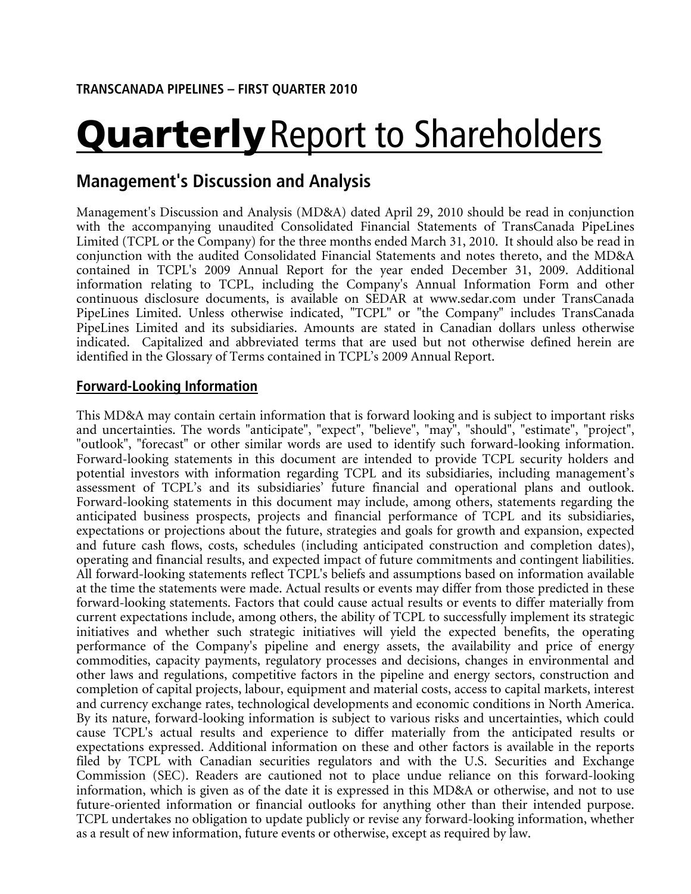# **Quarterly** Report to Shareholders

# **Management's Discussion and Analysis**

Management's Discussion and Analysis (MD&A) dated April 29, 2010 should be read in conjunction with the accompanying unaudited Consolidated Financial Statements of TransCanada PipeLines Limited (TCPL or the Company) for the three months ended March 31, 2010. It should also be read in conjunction with the audited Consolidated Financial Statements and notes thereto, and the MD&A contained in TCPL's 2009 Annual Report for the year ended December 31, 2009. Additional information relating to TCPL, including the Company's Annual Information Form and other continuous disclosure documents, is available on SEDAR at www.sedar.com under TransCanada PipeLines Limited. Unless otherwise indicated, "TCPL" or "the Company" includes TransCanada PipeLines Limited and its subsidiaries. Amounts are stated in Canadian dollars unless otherwise indicated. Capitalized and abbreviated terms that are used but not otherwise defined herein are identified in the Glossary of Terms contained in TCPL's 2009 Annual Report.

# **Forward-Looking Information**

This MD&A may contain certain information that is forward looking and is subject to important risks and uncertainties. The words "anticipate", "expect", "believe", "may", "should", "estimate", "project", "outlook", "forecast" or other similar words are used to identify such forward-looking information. Forward-looking statements in this document are intended to provide TCPL security holders and potential investors with information regarding TCPL and its subsidiaries, including management's assessment of TCPL's and its subsidiaries' future financial and operational plans and outlook. Forward-looking statements in this document may include, among others, statements regarding the anticipated business prospects, projects and financial performance of TCPL and its subsidiaries, expectations or projections about the future, strategies and goals for growth and expansion, expected and future cash flows, costs, schedules (including anticipated construction and completion dates), operating and financial results, and expected impact of future commitments and contingent liabilities. All forward-looking statements reflect TCPL's beliefs and assumptions based on information available at the time the statements were made. Actual results or events may differ from those predicted in these forward-looking statements. Factors that could cause actual results or events to differ materially from current expectations include, among others, the ability of TCPL to successfully implement its strategic initiatives and whether such strategic initiatives will yield the expected benefits, the operating performance of the Company's pipeline and energy assets, the availability and price of energy commodities, capacity payments, regulatory processes and decisions, changes in environmental and other laws and regulations, competitive factors in the pipeline and energy sectors, construction and completion of capital projects, labour, equipment and material costs, access to capital markets, interest and currency exchange rates, technological developments and economic conditions in North America. By its nature, forward-looking information is subject to various risks and uncertainties, which could cause TCPL's actual results and experience to differ materially from the anticipated results or expectations expressed. Additional information on these and other factors is available in the reports filed by TCPL with Canadian securities regulators and with the U.S. Securities and Exchange Commission (SEC). Readers are cautioned not to place undue reliance on this forward-looking information, which is given as of the date it is expressed in this MD&A or otherwise, and not to use future-oriented information or financial outlooks for anything other than their intended purpose. TCPL undertakes no obligation to update publicly or revise any forward-looking information, whether as a result of new information, future events or otherwise, except as required by law.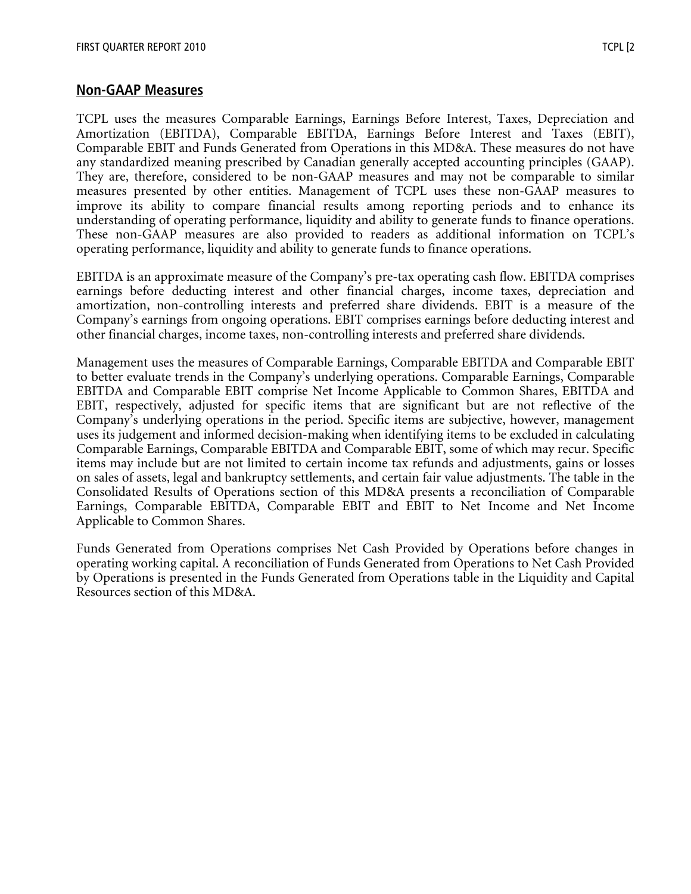# **Non-GAAP Measures**

TCPL uses the measures Comparable Earnings, Earnings Before Interest, Taxes, Depreciation and Amortization (EBITDA), Comparable EBITDA, Earnings Before Interest and Taxes (EBIT), Comparable EBIT and Funds Generated from Operations in this MD&A. These measures do not have any standardized meaning prescribed by Canadian generally accepted accounting principles (GAAP). They are, therefore, considered to be non-GAAP measures and may not be comparable to similar measures presented by other entities. Management of TCPL uses these non-GAAP measures to improve its ability to compare financial results among reporting periods and to enhance its understanding of operating performance, liquidity and ability to generate funds to finance operations. These non-GAAP measures are also provided to readers as additional information on TCPL's operating performance, liquidity and ability to generate funds to finance operations.

EBITDA is an approximate measure of the Company's pre-tax operating cash flow. EBITDA comprises earnings before deducting interest and other financial charges, income taxes, depreciation and amortization, non-controlling interests and preferred share dividends. EBIT is a measure of the Company's earnings from ongoing operations. EBIT comprises earnings before deducting interest and other financial charges, income taxes, non-controlling interests and preferred share dividends.

Management uses the measures of Comparable Earnings, Comparable EBITDA and Comparable EBIT to better evaluate trends in the Company's underlying operations. Comparable Earnings, Comparable EBITDA and Comparable EBIT comprise Net Income Applicable to Common Shares, EBITDA and EBIT, respectively, adjusted for specific items that are significant but are not reflective of the Company's underlying operations in the period. Specific items are subjective, however, management uses its judgement and informed decision-making when identifying items to be excluded in calculating Comparable Earnings, Comparable EBITDA and Comparable EBIT, some of which may recur. Specific items may include but are not limited to certain income tax refunds and adjustments, gains or losses on sales of assets, legal and bankruptcy settlements, and certain fair value adjustments. The table in the Consolidated Results of Operations section of this MD&A presents a reconciliation of Comparable Earnings, Comparable EBITDA, Comparable EBIT and EBIT to Net Income and Net Income Applicable to Common Shares.

Funds Generated from Operations comprises Net Cash Provided by Operations before changes in operating working capital. A reconciliation of Funds Generated from Operations to Net Cash Provided by Operations is presented in the Funds Generated from Operations table in the Liquidity and Capital Resources section of this MD&A.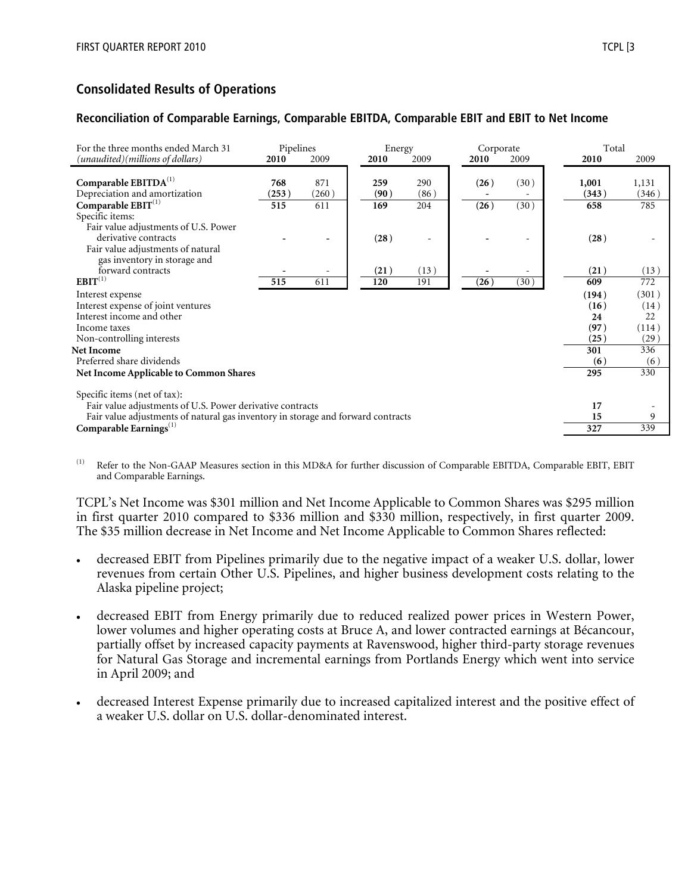# **Consolidated Results of Operations**

# **Reconciliation of Comparable Earnings, Comparable EBITDA, Comparable EBIT and EBIT to Net Income**

| For the three months ended March 31                                              | Pipelines    |              |             | Energy |             | Corporate |      | Total          |                |
|----------------------------------------------------------------------------------|--------------|--------------|-------------|--------|-------------|-----------|------|----------------|----------------|
| (unaudited)(millions of dollars)                                                 | 2010         | 2009         | 2010        |        | 2009        | 2010      | 2009 | 2010           | 2009           |
| Comparable $EBITDA(1)$<br>Depreciation and amortization                          | 768<br>(253) | 871<br>(260) | 259<br>(90) |        | 290<br>(86) | (26)      | (30) | 1,001<br>(343) | 1,131<br>(346) |
| Comparable $EBIT^{(1)}$                                                          | 515          | 611          | 169         |        | 204         | (26)      | (30) | 658            | 785            |
| Specific items:<br>Fair value adjustments of U.S. Power                          |              |              |             |        |             |           |      |                |                |
| derivative contracts<br>Fair value adjustments of natural                        |              |              |             | (28)   | $\equiv$    |           |      | (28)           |                |
| gas inventory in storage and<br>forward contracts                                |              |              |             | (21)   | (13)        |           |      | (21)           | (13)           |
| $EBIT^{(1)}$                                                                     | 515          | 611          | 120         |        | 191         | (26)      | (30) | 609            | 772            |
| Interest expense                                                                 |              |              |             |        |             |           |      | (194)          | (301)          |
| Interest expense of joint ventures                                               |              |              |             |        |             |           |      | (16)           | (14)           |
| Interest income and other                                                        |              |              |             |        |             |           |      | 24             | 22             |
| Income taxes                                                                     |              |              |             |        |             |           |      | (97)           | (114)          |
| Non-controlling interests                                                        |              |              |             |        |             |           |      | (25)           | (29)           |
| <b>Net Income</b>                                                                |              |              |             |        |             |           |      | 301            | 336            |
| Preferred share dividends                                                        |              |              |             |        |             |           |      | (6)            | (6)            |
| <b>Net Income Applicable to Common Shares</b>                                    |              |              |             |        |             |           |      | 295            | 330            |
| Specific items (net of tax):                                                     |              |              |             |        |             |           |      |                |                |
| Fair value adjustments of U.S. Power derivative contracts                        |              |              |             |        |             |           |      | 17             |                |
| Fair value adjustments of natural gas inventory in storage and forward contracts |              |              |             |        |             |           |      | 15             | 9              |
| Comparable Earnings $^{(1)}$                                                     |              |              |             |        |             |           |      | 327            | 339            |

Refer to the Non-GAAP Measures section in this MD&A for further discussion of Comparable EBITDA, Comparable EBIT, EBIT and Comparable Earnings.

TCPL's Net Income was \$301 million and Net Income Applicable to Common Shares was \$295 million in first quarter 2010 compared to \$336 million and \$330 million, respectively, in first quarter 2009. The \$35 million decrease in Net Income and Net Income Applicable to Common Shares reflected:

- decreased EBIT from Pipelines primarily due to the negative impact of a weaker U.S. dollar, lower revenues from certain Other U.S. Pipelines, and higher business development costs relating to the Alaska pipeline project;
- decreased EBIT from Energy primarily due to reduced realized power prices in Western Power, lower volumes and higher operating costs at Bruce A, and lower contracted earnings at Bécancour, partially offset by increased capacity payments at Ravenswood, higher third-party storage revenues for Natural Gas Storage and incremental earnings from Portlands Energy which went into service in April 2009; and
- decreased Interest Expense primarily due to increased capitalized interest and the positive effect of a weaker U.S. dollar on U.S. dollar-denominated interest.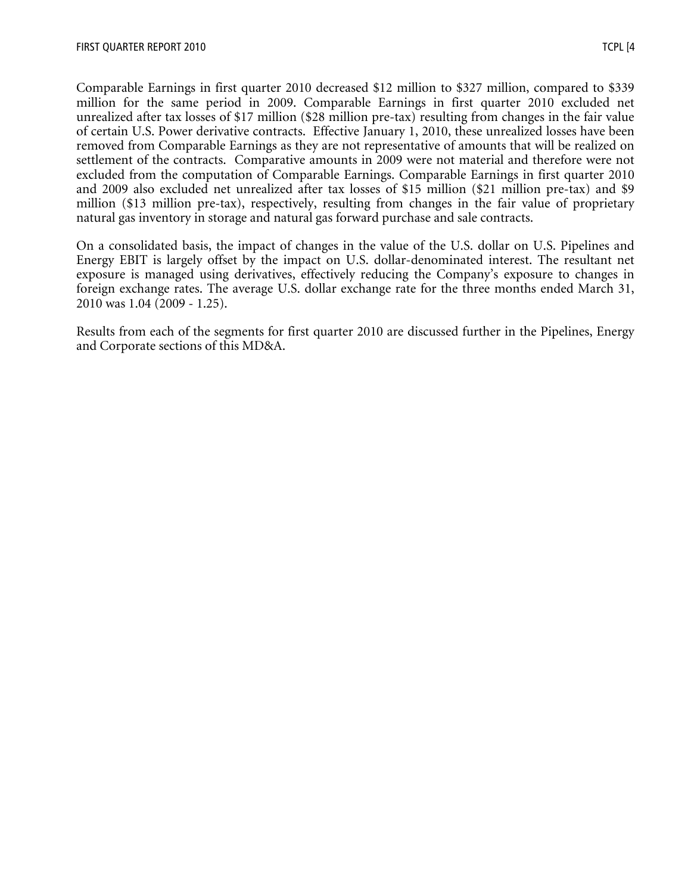Comparable Earnings in first quarter 2010 decreased \$12 million to \$327 million, compared to \$339 million for the same period in 2009. Comparable Earnings in first quarter 2010 excluded net unrealized after tax losses of \$17 million (\$28 million pre-tax) resulting from changes in the fair value of certain U.S. Power derivative contracts. Effective January 1, 2010, these unrealized losses have been removed from Comparable Earnings as they are not representative of amounts that will be realized on settlement of the contracts. Comparative amounts in 2009 were not material and therefore were not excluded from the computation of Comparable Earnings. Comparable Earnings in first quarter 2010 and 2009 also excluded net unrealized after tax losses of \$15 million (\$21 million pre-tax) and \$9 million (\$13 million pre-tax), respectively, resulting from changes in the fair value of proprietary natural gas inventory in storage and natural gas forward purchase and sale contracts.

On a consolidated basis, the impact of changes in the value of the U.S. dollar on U.S. Pipelines and Energy EBIT is largely offset by the impact on U.S. dollar-denominated interest. The resultant net exposure is managed using derivatives, effectively reducing the Company's exposure to changes in foreign exchange rates. The average U.S. dollar exchange rate for the three months ended March 31, 2010 was 1.04 (2009 - 1.25).

Results from each of the segments for first quarter 2010 are discussed further in the Pipelines, Energy and Corporate sections of this MD&A.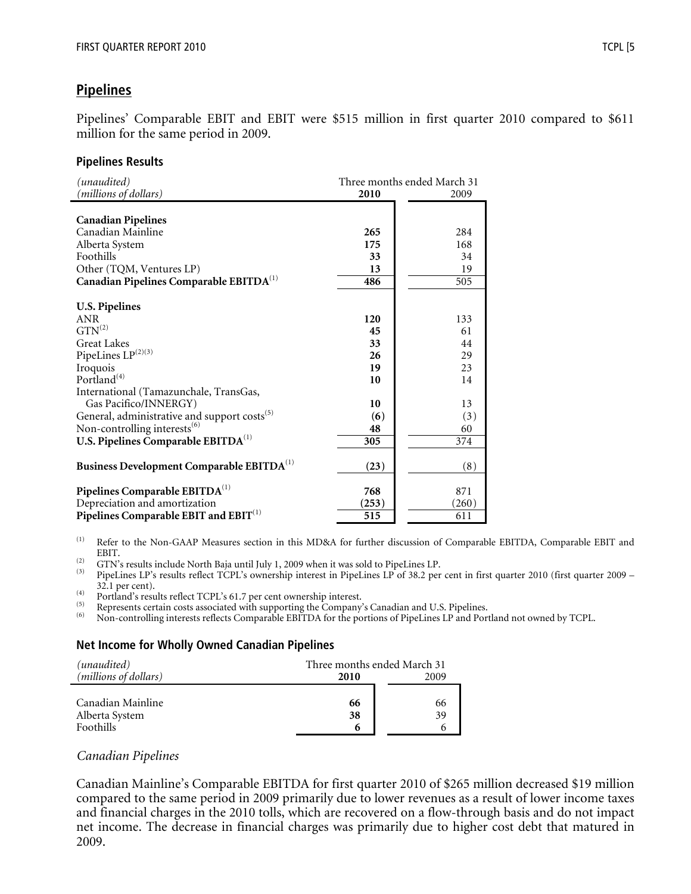# **Pipelines**

Pipelines' Comparable EBIT and EBIT were \$515 million in first quarter 2010 compared to \$611 million for the same period in 2009.

#### **Pipelines Results**

| (unaudited)                                              | Three months ended March 31 |       |  |
|----------------------------------------------------------|-----------------------------|-------|--|
| (millions of dollars)                                    | 2010                        | 2009  |  |
|                                                          |                             |       |  |
| <b>Canadian Pipelines</b>                                |                             |       |  |
| Canadian Mainline                                        | 265                         | 284   |  |
| Alberta System                                           | 175                         | 168   |  |
| Foothills                                                | 33                          | 34    |  |
| Other (TQM, Ventures LP)                                 | 13                          | 19    |  |
| Canadian Pipelines Comparable EBITDA <sup>(1)</sup>      | 486                         | 505   |  |
|                                                          |                             |       |  |
| <b>U.S. Pipelines</b>                                    |                             |       |  |
| <b>ANR</b>                                               | 120                         | 133   |  |
| $GTN^{(2)}$                                              | 45                          | 61    |  |
| <b>Great Lakes</b>                                       | 33                          | 44    |  |
| PipeLines LP(2)(3)                                       | 26                          | 29    |  |
| Iroquois                                                 | 19                          | 23    |  |
| Portland <sup>(4)</sup>                                  | 10                          | 14    |  |
| International (Tamazunchale, TransGas,                   |                             |       |  |
| Gas Pacifico/INNERGY)                                    | 10                          | 13    |  |
| General, administrative and support costs <sup>(5)</sup> | (6)                         | (3)   |  |
| Non-controlling interests $^{(6)}$                       | 48                          | 60    |  |
| U.S. Pipelines Comparable EBITDA <sup>(1)</sup>          | 305                         | 374   |  |
|                                                          |                             |       |  |
| Business Development Comparable EBITDA <sup>(1)</sup>    | (23)                        | (8)   |  |
|                                                          |                             |       |  |
| Pipelines Comparable EBITDA <sup>(1)</sup>               | 768                         | 871   |  |
| Depreciation and amortization                            | (253)                       | (260) |  |
| Pipelines Comparable EBIT and EBIT <sup>(1)</sup>        | 515                         | 611   |  |

(1) Refer to the Non-GAAP Measures section in this MD&A for further discussion of Comparable EBITDA, Comparable EBIT and

EBIT.<br>GTN's results include North Baja until July 1, 2009 when it was sold to PipeLines LP.

<sup>(2)</sup> GTN's results include North Baja until July 1, 2009 when it was sold to PipeLines LP.<br><sup>(3)</sup> PipeLines LP's results reflect TCPL's ownership interest in PipeLines LP of 38.2 per cent in first quarter 2010 (first quar <sup>(4)</sup> 32.1 per cent).<br>
Portland's results reflect TCPL's 61.7 per cent ownership interest.<br>
(5) Represents certain costs associated with supporting the Company's Canadian and U.S. Pipelines.<br>
(6) Non-controlling interests

#### **Net Income for Wholly Owned Canadian Pipelines**

| (unaudited)                    | Three months ended March 31 |      |
|--------------------------------|-----------------------------|------|
| ( <i>millions of dollars</i> ) | 2010                        | 2009 |
|                                |                             |      |
| Canadian Mainline              | 66                          | 66   |
| Alberta System                 | 38                          | 39   |
| Foothills                      | 6                           | 6    |

#### *Canadian Pipelines*

Canadian Mainline's Comparable EBITDA for first quarter 2010 of \$265 million decreased \$19 million compared to the same period in 2009 primarily due to lower revenues as a result of lower income taxes and financial charges in the 2010 tolls, which are recovered on a flow-through basis and do not impact net income. The decrease in financial charges was primarily due to higher cost debt that matured in 2009.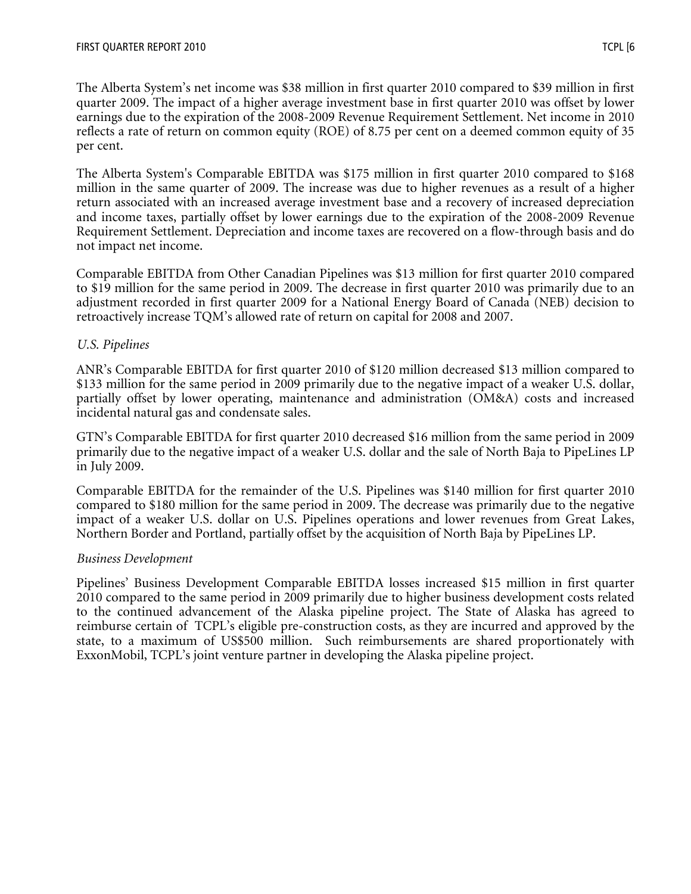The Alberta System's net income was \$38 million in first quarter 2010 compared to \$39 million in first quarter 2009. The impact of a higher average investment base in first quarter 2010 was offset by lower earnings due to the expiration of the 2008-2009 Revenue Requirement Settlement. Net income in 2010 reflects a rate of return on common equity (ROE) of 8.75 per cent on a deemed common equity of 35 per cent.

The Alberta System's Comparable EBITDA was \$175 million in first quarter 2010 compared to \$168 million in the same quarter of 2009. The increase was due to higher revenues as a result of a higher return associated with an increased average investment base and a recovery of increased depreciation and income taxes, partially offset by lower earnings due to the expiration of the 2008-2009 Revenue Requirement Settlement. Depreciation and income taxes are recovered on a flow-through basis and do not impact net income.

Comparable EBITDA from Other Canadian Pipelines was \$13 million for first quarter 2010 compared to \$19 million for the same period in 2009. The decrease in first quarter 2010 was primarily due to an adjustment recorded in first quarter 2009 for a National Energy Board of Canada (NEB) decision to retroactively increase TQM's allowed rate of return on capital for 2008 and 2007.

## *U.S. Pipelines*

ANR's Comparable EBITDA for first quarter 2010 of \$120 million decreased \$13 million compared to \$133 million for the same period in 2009 primarily due to the negative impact of a weaker U.S. dollar, partially offset by lower operating, maintenance and administration (OM&A) costs and increased incidental natural gas and condensate sales.

GTN's Comparable EBITDA for first quarter 2010 decreased \$16 million from the same period in 2009 primarily due to the negative impact of a weaker U.S. dollar and the sale of North Baja to PipeLines LP in July 2009.

Comparable EBITDA for the remainder of the U.S. Pipelines was \$140 million for first quarter 2010 compared to \$180 million for the same period in 2009. The decrease was primarily due to the negative impact of a weaker U.S. dollar on U.S. Pipelines operations and lower revenues from Great Lakes, Northern Border and Portland, partially offset by the acquisition of North Baja by PipeLines LP.

### *Business Development*

Pipelines' Business Development Comparable EBITDA losses increased \$15 million in first quarter 2010 compared to the same period in 2009 primarily due to higher business development costs related to the continued advancement of the Alaska pipeline project. The State of Alaska has agreed to reimburse certain of TCPL's eligible pre-construction costs, as they are incurred and approved by the state, to a maximum of US\$500 million. Such reimbursements are shared proportionately with ExxonMobil, TCPL's joint venture partner in developing the Alaska pipeline project.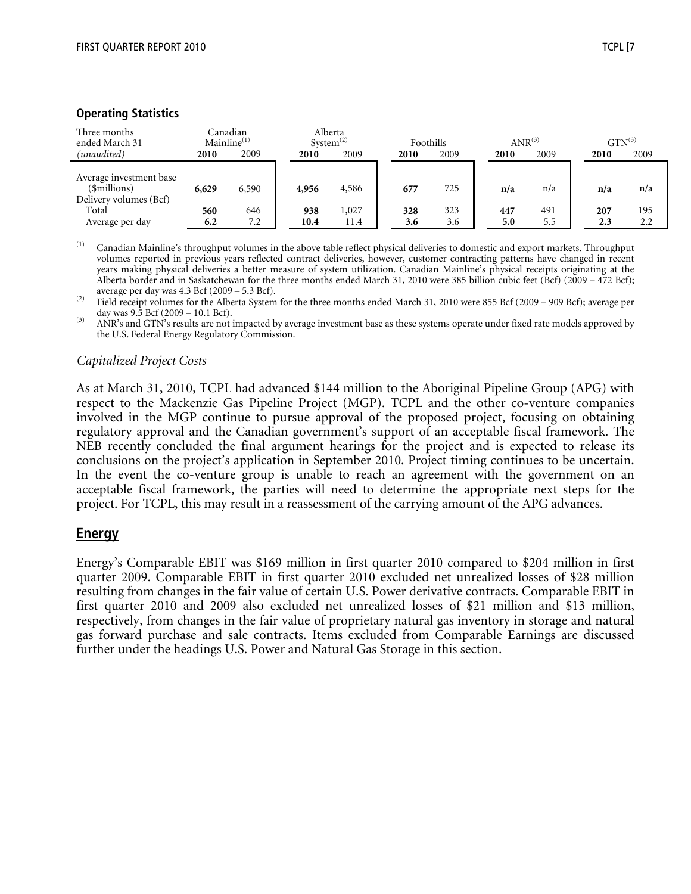#### **Operating Statistics**

| Three months<br>ended March 31<br>(unaudited)                     | 2010       | Canadian<br>$\text{Mainline}^{(1)}$<br>2009 | System <sup>(2)</sup><br>2010 | Alberta<br>2009 | 2010       | Foothills<br>2009 | 2010       | $ANR^{(3)}$<br>2009 | 2010       | $GTN^{(3)}$<br>2009 |
|-------------------------------------------------------------------|------------|---------------------------------------------|-------------------------------|-----------------|------------|-------------------|------------|---------------------|------------|---------------------|
| Average investment base<br>(\$millions)<br>Delivery volumes (Bcf) | 6,629      | 6,590                                       | 4,956                         | 4,586           | 677        | 725               | n/a        | n/a                 | n/a        | n/a                 |
| Total<br>Average per day                                          | 560<br>6.2 | 646<br>7.2                                  | 938<br>10.4                   | 1,027<br>11.4   | 328<br>3.6 | 323<br>3.6        | 447<br>5.0 | 491<br>5.5          | 207<br>2.3 | 195<br>2.2          |

(1) Canadian Mainline's throughput volumes in the above table reflect physical deliveries to domestic and export markets. Throughput volumes reported in previous years reflected contract deliveries, however, customer contracting patterns have changed in recent years making physical deliveries a better measure of system utilization. Canadian Mainline's physical receipts originating at the Alberta border and in Saskatchewan for the three months ended March 31, 2010 were 385 billion cubic feet (Bcf) (2009 – 472 Bcf);

average per day was 4.3 Bcf (2009 – 5.3 Bcf).<br>
Field receipt volumes for the Alberta System for the three months ended March 31, 2010 were 855 Bcf (2009 – 909 Bcf); average per<br>
day was 9.5 Bcf (2009 – 10.1 Bcf).

 $\overline{A}$  ANR's and GTN's results are not impacted by average investment base as these systems operate under fixed rate models approved by the U.S. Federal Energy Regulatory Commission.

#### *Capitalized Project Costs*

As at March 31, 2010, TCPL had advanced \$144 million to the Aboriginal Pipeline Group (APG) with respect to the Mackenzie Gas Pipeline Project (MGP). TCPL and the other co-venture companies involved in the MGP continue to pursue approval of the proposed project, focusing on obtaining regulatory approval and the Canadian government's support of an acceptable fiscal framework. The NEB recently concluded the final argument hearings for the project and is expected to release its conclusions on the project's application in September 2010. Project timing continues to be uncertain. In the event the co-venture group is unable to reach an agreement with the government on an acceptable fiscal framework, the parties will need to determine the appropriate next steps for the project. For TCPL, this may result in a reassessment of the carrying amount of the APG advances.

### **Energy**

Energy's Comparable EBIT was \$169 million in first quarter 2010 compared to \$204 million in first quarter 2009. Comparable EBIT in first quarter 2010 excluded net unrealized losses of \$28 million resulting from changes in the fair value of certain U.S. Power derivative contracts. Comparable EBIT in first quarter 2010 and 2009 also excluded net unrealized losses of \$21 million and \$13 million, respectively, from changes in the fair value of proprietary natural gas inventory in storage and natural gas forward purchase and sale contracts. Items excluded from Comparable Earnings are discussed further under the headings U.S. Power and Natural Gas Storage in this section.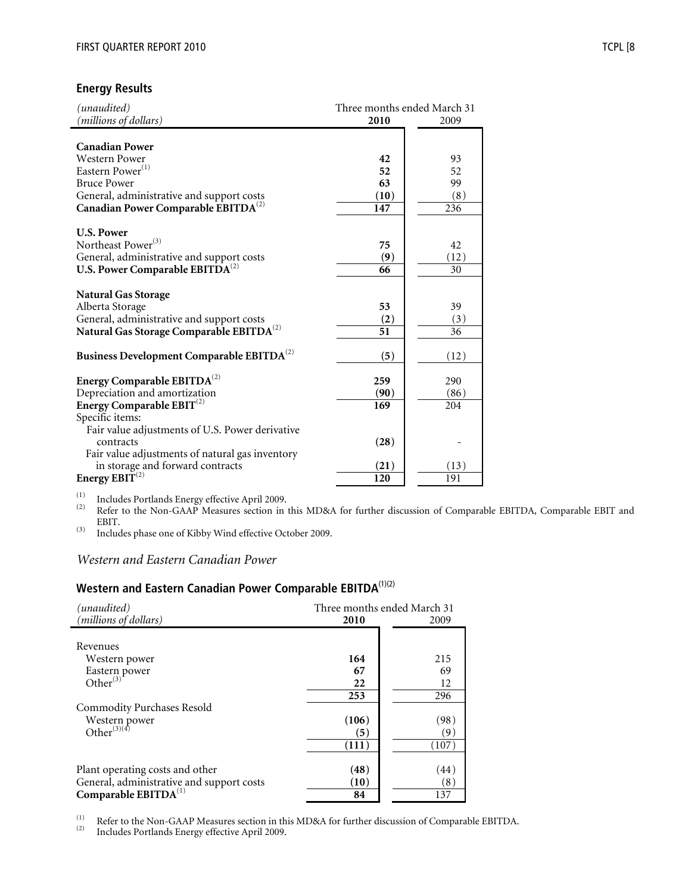## **Energy Results**

| (unaudited)<br>(millions of dollars)                                                                                                                                                               | Three months ended March 31<br>2010 |                               |  |
|----------------------------------------------------------------------------------------------------------------------------------------------------------------------------------------------------|-------------------------------------|-------------------------------|--|
| <b>Canadian Power</b><br><b>Western Power</b><br>Eastern Power <sup>(1)</sup><br><b>Bruce Power</b><br>General, administrative and support costs                                                   | 42<br>52<br>63<br>(10)              | 2009<br>93<br>52<br>99<br>(8) |  |
| Canadian Power Comparable EBITDA <sup>(2)</sup><br><b>U.S. Power</b><br>Northeast Power <sup>(3)</sup><br>General, administrative and support costs<br>U.S. Power Comparable EBITDA <sup>(2)</sup> | 147<br>75<br>(9)<br>66              | 236<br>42<br>(12)<br>30       |  |
| <b>Natural Gas Storage</b><br>Alberta Storage<br>General, administrative and support costs<br>Natural Gas Storage Comparable EBITDA <sup>(2)</sup>                                                 | 53<br>(2)<br>51                     | 39<br>(3)<br>36               |  |
| Business Development Comparable EBITDA <sup>(2)</sup>                                                                                                                                              | (5)                                 | (12)                          |  |
| Energy Comparable $EBITDA^{(2)}$<br>Depreciation and amortization<br>Energy Comparable $EBIT^{(2)}$<br>Specific items:                                                                             | 259<br>(90)<br>169                  | 290<br>(86)<br>204            |  |
| Fair value adjustments of U.S. Power derivative<br>contracts<br>Fair value adjustments of natural gas inventory<br>in storage and forward contracts<br>Energy $EBIT^{(2)}$                         | (28)<br>(21)<br>120                 | (13)<br>191                   |  |
|                                                                                                                                                                                                    |                                     |                               |  |

(1) Includes Portlands Energy effective April 2009.<br>(2) Refer to the Non-GAAP Measures section in this MD&A for further discussion of Comparable EBITDA, Comparable EBIT and EBIT.

(3) Includes phase one of Kibby Wind effective October 2009.

# *Western and Eastern Canadian Power*

# **Western and Eastern Canadian Power Comparable EBITDA**(1)(2)

| (unaudited)                               | Three months ended March 31 |       |  |
|-------------------------------------------|-----------------------------|-------|--|
| (millions of dollars)                     | 2010                        | 2009  |  |
| Revenues<br>Western power                 | 164                         | 215   |  |
|                                           | 67                          | 69    |  |
| Eastern power<br>Other <sup>(3)</sup>     | 22                          | 12    |  |
|                                           | 253                         | 296   |  |
| <b>Commodity Purchases Resold</b>         |                             |       |  |
| Western power<br>Other <sup>(3)(4)</sup>  | (106)                       | (98)  |  |
|                                           | (5)                         | '9`   |  |
|                                           | (111)                       | (107) |  |
| Plant operating costs and other           | (48)                        | (44)  |  |
| General, administrative and support costs | (10)                        | (8)   |  |
| Comparable EBITDA <sup>(1)</sup>          | 84                          | 137   |  |

(1) Refer to the Non-GAAP Measures section in this MD&A for further discussion of Comparable EBITDA.<br>Includes Portlands Energy effective April 2009.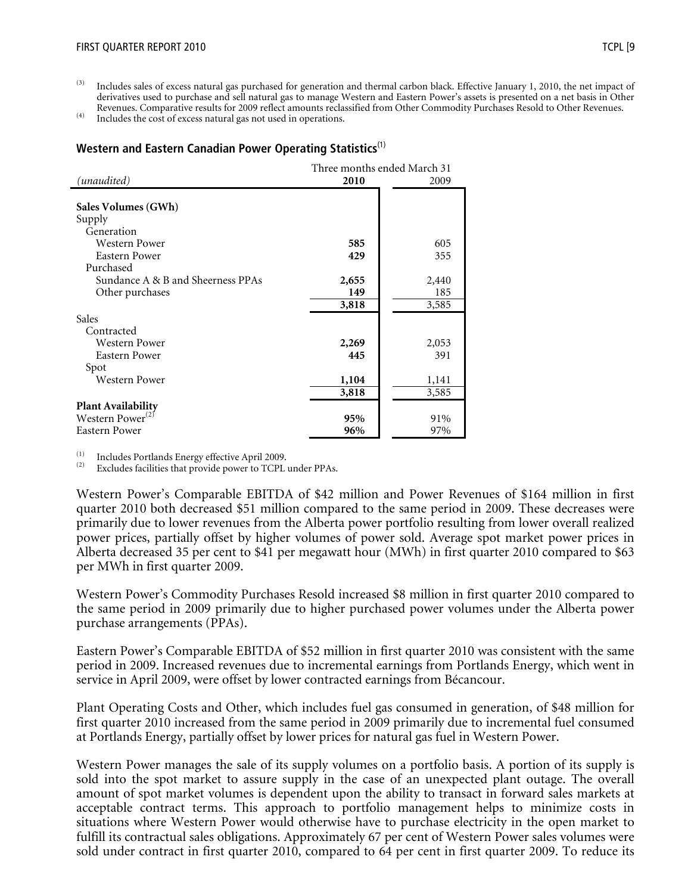<sup>(3)</sup> Includes sales of excess natural gas purchased for generation and thermal carbon black. Effective January 1, 2010, the net impact of derivatives used to purchase and sell natural gas to manage Western and Eastern Power's assets is presented on a net basis in Other Revenues. Comparative results for 2009 reflect amounts reclassified from Other Commodity Purchases Resold to Other Revenues. (4) Includes the cost of excess natural gas not used in operations.

#### **Western and Eastern Canadian Power Operating Statistics**(1)

| (unaudited)<br>2010<br>2009<br>Sales Volumes (GWh)<br>Supply<br>Generation<br>Western Power<br>585<br>605<br><b>Eastern Power</b><br>429<br>355<br>Purchased<br>Sundance A & B and Sheerness PPAs<br>2,655<br>2,440<br>Other purchases<br>149<br>185<br>3,818<br>3,585<br>Sales<br>Contracted<br>2,269<br><b>Western Power</b><br>2,053<br>Eastern Power<br>445<br>391<br>Spot<br>Western Power<br>1,104<br>1,141<br>3,818<br>3,585<br><b>Plant Availability</b><br>Western Power <sup>(2)</sup><br>95%<br>91%<br>96%<br>97% |               | Three months ended March 31 |  |  |  |
|------------------------------------------------------------------------------------------------------------------------------------------------------------------------------------------------------------------------------------------------------------------------------------------------------------------------------------------------------------------------------------------------------------------------------------------------------------------------------------------------------------------------------|---------------|-----------------------------|--|--|--|
|                                                                                                                                                                                                                                                                                                                                                                                                                                                                                                                              |               |                             |  |  |  |
|                                                                                                                                                                                                                                                                                                                                                                                                                                                                                                                              |               |                             |  |  |  |
|                                                                                                                                                                                                                                                                                                                                                                                                                                                                                                                              |               |                             |  |  |  |
|                                                                                                                                                                                                                                                                                                                                                                                                                                                                                                                              |               |                             |  |  |  |
|                                                                                                                                                                                                                                                                                                                                                                                                                                                                                                                              |               |                             |  |  |  |
|                                                                                                                                                                                                                                                                                                                                                                                                                                                                                                                              |               |                             |  |  |  |
|                                                                                                                                                                                                                                                                                                                                                                                                                                                                                                                              |               |                             |  |  |  |
|                                                                                                                                                                                                                                                                                                                                                                                                                                                                                                                              |               |                             |  |  |  |
|                                                                                                                                                                                                                                                                                                                                                                                                                                                                                                                              |               |                             |  |  |  |
|                                                                                                                                                                                                                                                                                                                                                                                                                                                                                                                              |               |                             |  |  |  |
|                                                                                                                                                                                                                                                                                                                                                                                                                                                                                                                              |               |                             |  |  |  |
|                                                                                                                                                                                                                                                                                                                                                                                                                                                                                                                              |               |                             |  |  |  |
|                                                                                                                                                                                                                                                                                                                                                                                                                                                                                                                              |               |                             |  |  |  |
|                                                                                                                                                                                                                                                                                                                                                                                                                                                                                                                              |               |                             |  |  |  |
|                                                                                                                                                                                                                                                                                                                                                                                                                                                                                                                              |               |                             |  |  |  |
|                                                                                                                                                                                                                                                                                                                                                                                                                                                                                                                              |               |                             |  |  |  |
|                                                                                                                                                                                                                                                                                                                                                                                                                                                                                                                              |               |                             |  |  |  |
|                                                                                                                                                                                                                                                                                                                                                                                                                                                                                                                              |               |                             |  |  |  |
|                                                                                                                                                                                                                                                                                                                                                                                                                                                                                                                              |               |                             |  |  |  |
|                                                                                                                                                                                                                                                                                                                                                                                                                                                                                                                              |               |                             |  |  |  |
|                                                                                                                                                                                                                                                                                                                                                                                                                                                                                                                              | Eastern Power |                             |  |  |  |

(1) Includes Portlands Energy effective April 2009.<br>(2) Excludes facilities that provide power to TCPL under PPAs.

Western Power's Comparable EBITDA of \$42 million and Power Revenues of \$164 million in first quarter 2010 both decreased \$51 million compared to the same period in 2009. These decreases were primarily due to lower revenues from the Alberta power portfolio resulting from lower overall realized power prices, partially offset by higher volumes of power sold. Average spot market power prices in Alberta decreased 35 per cent to \$41 per megawatt hour (MWh) in first quarter 2010 compared to \$63 per MWh in first quarter 2009.

Western Power's Commodity Purchases Resold increased \$8 million in first quarter 2010 compared to the same period in 2009 primarily due to higher purchased power volumes under the Alberta power purchase arrangements (PPAs).

Eastern Power's Comparable EBITDA of \$52 million in first quarter 2010 was consistent with the same period in 2009. Increased revenues due to incremental earnings from Portlands Energy, which went in service in April 2009, were offset by lower contracted earnings from Bécancour.

Plant Operating Costs and Other, which includes fuel gas consumed in generation, of \$48 million for first quarter 2010 increased from the same period in 2009 primarily due to incremental fuel consumed at Portlands Energy, partially offset by lower prices for natural gas fuel in Western Power.

Western Power manages the sale of its supply volumes on a portfolio basis. A portion of its supply is sold into the spot market to assure supply in the case of an unexpected plant outage. The overall amount of spot market volumes is dependent upon the ability to transact in forward sales markets at acceptable contract terms. This approach to portfolio management helps to minimize costs in situations where Western Power would otherwise have to purchase electricity in the open market to fulfill its contractual sales obligations. Approximately 67 per cent of Western Power sales volumes were sold under contract in first quarter 2010, compared to 64 per cent in first quarter 2009. To reduce its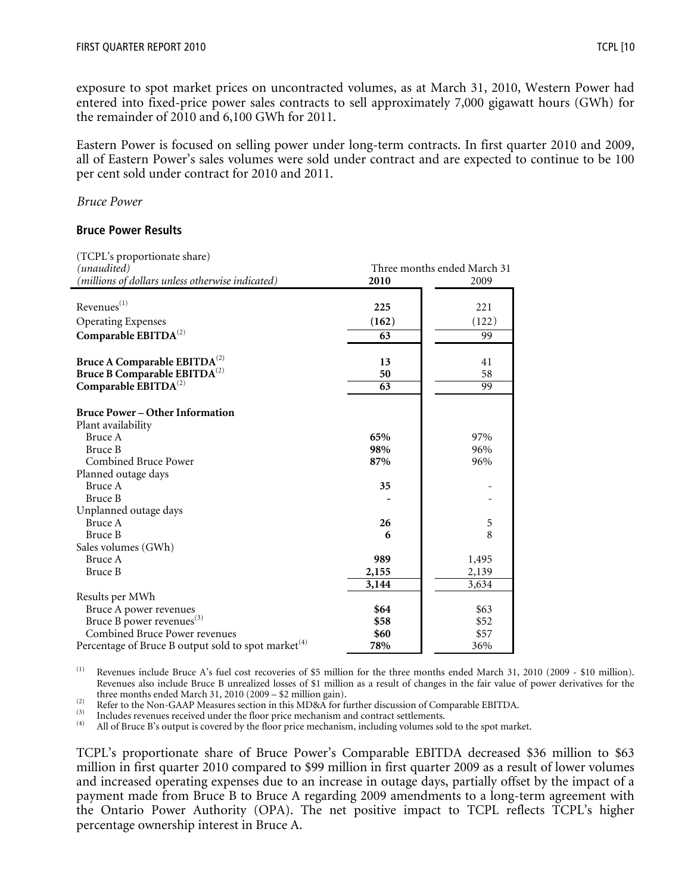exposure to spot market prices on uncontracted volumes, as at March 31, 2010, Western Power had entered into fixed-price power sales contracts to sell approximately 7,000 gigawatt hours (GWh) for the remainder of 2010 and 6,100 GWh for 2011.

Eastern Power is focused on selling power under long-term contracts. In first quarter 2010 and 2009, all of Eastern Power's sales volumes were sold under contract and are expected to continue to be 100 per cent sold under contract for 2010 and 2011.

#### *Bruce Power*

#### **Bruce Power Results**

| (TCPL's proportionate share)                                    |       |                             |
|-----------------------------------------------------------------|-------|-----------------------------|
| (unaudited)                                                     |       | Three months ended March 31 |
| (millions of dollars unless otherwise indicated)                | 2010  | 2009                        |
|                                                                 |       |                             |
| Revenues <sup>(1)</sup>                                         | 225   | 221                         |
| <b>Operating Expenses</b>                                       | (162) | (122)                       |
| Comparable EBITDA <sup>(2)</sup>                                | 63    | 99                          |
|                                                                 |       |                             |
| Bruce A Comparable EBITDA <sup>(2)</sup>                        | 13    | 41                          |
| Bruce B Comparable EBITDA <sup>(2)</sup>                        | 50    | 58                          |
| Comparable EBITDA <sup>(2)</sup>                                | 63    | 99                          |
|                                                                 |       |                             |
| <b>Bruce Power - Other Information</b>                          |       |                             |
| Plant availability                                              |       |                             |
| Bruce A                                                         | 65%   | 97%                         |
| Bruce B                                                         | 98%   | 96%                         |
| Combined Bruce Power                                            | 87%   | 96%                         |
| Planned outage days                                             |       |                             |
| Bruce A                                                         | 35    |                             |
| Bruce B                                                         |       |                             |
| Unplanned outage days                                           |       |                             |
| Bruce A                                                         | 26    | 5                           |
| Bruce B                                                         | 6     | 8                           |
| Sales volumes (GWh)                                             |       |                             |
| Bruce A                                                         | 989   | 1,495                       |
| <b>Bruce B</b>                                                  | 2,155 | 2,139                       |
|                                                                 | 3,144 | 3,634                       |
| Results per MWh                                                 |       |                             |
| Bruce A power revenues                                          | \$64  | \$63                        |
| Bruce B power revenues <sup>(3)</sup>                           | \$58  | \$52                        |
| Combined Bruce Power revenues                                   | \$60  | \$57                        |
| Percentage of Bruce B output sold to spot market <sup>(4)</sup> | 78%   | 36%                         |

(1) Revenues include Bruce A's fuel cost recoveries of \$5 million for the three months ended March 31, 2010 (2009 - \$10 million). Revenues also include Bruce B unrealized losses of \$1 million as a result of changes in the fair value of power derivatives for the

The months ended Materi 31, 2010 (2007 – 32 minori gam).<br>
Refer to the Non-GAAP Measures section in this MD&A for further discussion of Comparable EBITDA.<br>
(3) Includes revenues received under the floor price mechanism an

TCPL's proportionate share of Bruce Power's Comparable EBITDA decreased \$36 million to \$63 million in first quarter 2010 compared to \$99 million in first quarter 2009 as a result of lower volumes and increased operating expenses due to an increase in outage days, partially offset by the impact of a payment made from Bruce B to Bruce A regarding 2009 amendments to a long-term agreement with the Ontario Power Authority (OPA). The net positive impact to TCPL reflects TCPL's higher percentage ownership interest in Bruce A.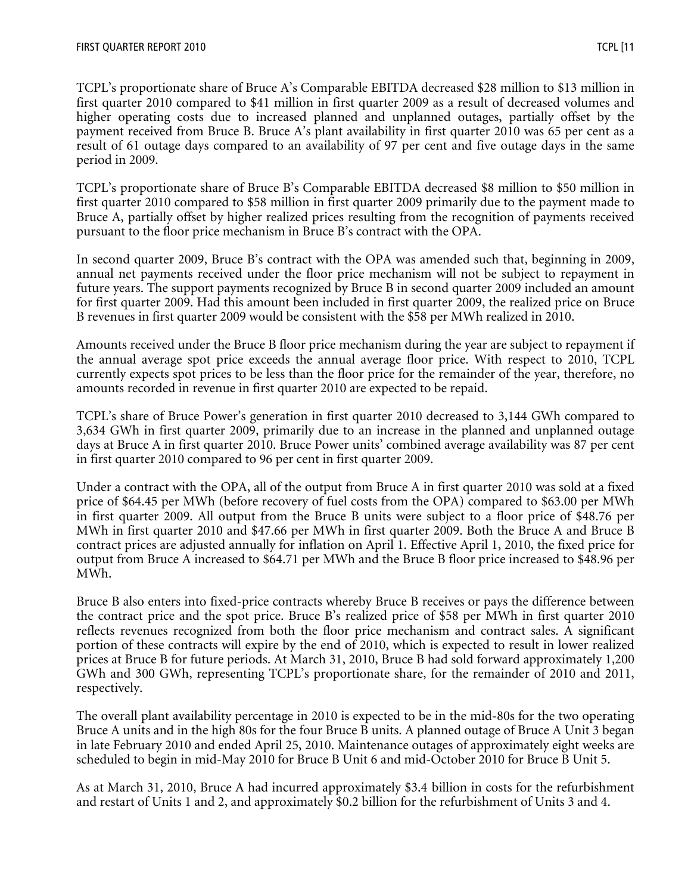TCPL's proportionate share of Bruce A's Comparable EBITDA decreased \$28 million to \$13 million in first quarter 2010 compared to \$41 million in first quarter 2009 as a result of decreased volumes and higher operating costs due to increased planned and unplanned outages, partially offset by the payment received from Bruce B. Bruce A's plant availability in first quarter 2010 was 65 per cent as a result of 61 outage days compared to an availability of 97 per cent and five outage days in the same period in 2009.

TCPL's proportionate share of Bruce B's Comparable EBITDA decreased \$8 million to \$50 million in first quarter 2010 compared to \$58 million in first quarter 2009 primarily due to the payment made to Bruce A, partially offset by higher realized prices resulting from the recognition of payments received pursuant to the floor price mechanism in Bruce B's contract with the OPA.

In second quarter 2009, Bruce B's contract with the OPA was amended such that, beginning in 2009, annual net payments received under the floor price mechanism will not be subject to repayment in future years. The support payments recognized by Bruce B in second quarter 2009 included an amount for first quarter 2009. Had this amount been included in first quarter 2009, the realized price on Bruce B revenues in first quarter 2009 would be consistent with the \$58 per MWh realized in 2010.

Amounts received under the Bruce B floor price mechanism during the year are subject to repayment if the annual average spot price exceeds the annual average floor price. With respect to 2010, TCPL currently expects spot prices to be less than the floor price for the remainder of the year, therefore, no amounts recorded in revenue in first quarter 2010 are expected to be repaid.

TCPL's share of Bruce Power's generation in first quarter 2010 decreased to 3,144 GWh compared to 3,634 GWh in first quarter 2009, primarily due to an increase in the planned and unplanned outage days at Bruce A in first quarter 2010. Bruce Power units' combined average availability was 87 per cent in first quarter 2010 compared to 96 per cent in first quarter 2009.

Under a contract with the OPA, all of the output from Bruce A in first quarter 2010 was sold at a fixed price of \$64.45 per MWh (before recovery of fuel costs from the OPA) compared to \$63.00 per MWh in first quarter 2009. All output from the Bruce B units were subject to a floor price of \$48.76 per MWh in first quarter 2010 and \$47.66 per MWh in first quarter 2009. Both the Bruce A and Bruce B contract prices are adjusted annually for inflation on April 1. Effective April 1, 2010, the fixed price for output from Bruce A increased to \$64.71 per MWh and the Bruce B floor price increased to \$48.96 per MWh.

Bruce B also enters into fixed-price contracts whereby Bruce B receives or pays the difference between the contract price and the spot price. Bruce B's realized price of \$58 per MWh in first quarter 2010 reflects revenues recognized from both the floor price mechanism and contract sales. A significant portion of these contracts will expire by the end of 2010, which is expected to result in lower realized prices at Bruce B for future periods. At March 31, 2010, Bruce B had sold forward approximately 1,200 GWh and 300 GWh, representing TCPL's proportionate share, for the remainder of 2010 and 2011, respectively.

The overall plant availability percentage in 2010 is expected to be in the mid-80s for the two operating Bruce A units and in the high 80s for the four Bruce B units. A planned outage of Bruce A Unit 3 began in late February 2010 and ended April 25, 2010. Maintenance outages of approximately eight weeks are scheduled to begin in mid-May 2010 for Bruce B Unit 6 and mid-October 2010 for Bruce B Unit 5.

As at March 31, 2010, Bruce A had incurred approximately \$3.4 billion in costs for the refurbishment and restart of Units 1 and 2, and approximately \$0.2 billion for the refurbishment of Units 3 and 4.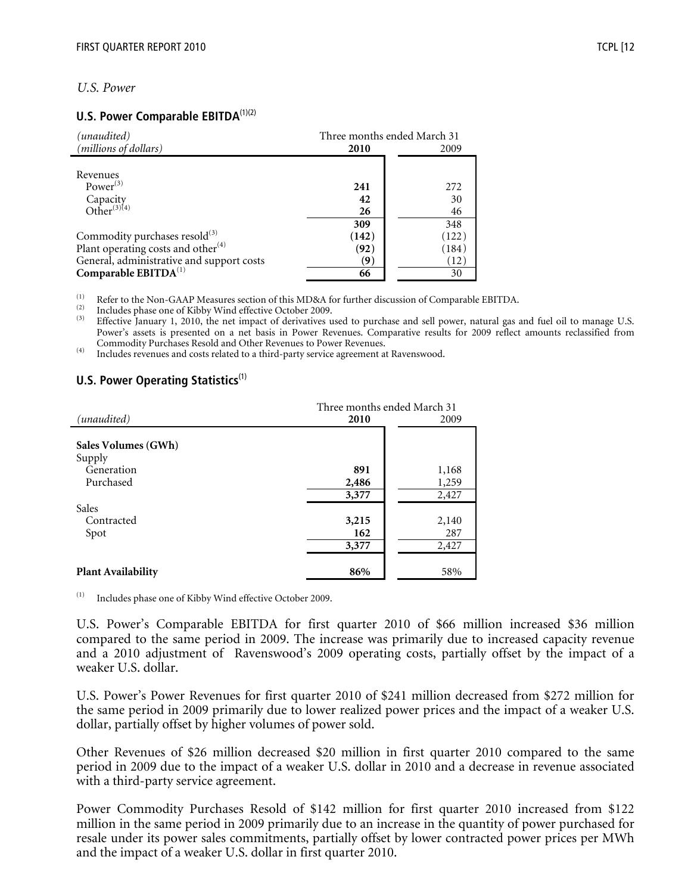## *U.S. Power*

### **U.S. Power Comparable EBITDA**<sup>(1)(2)</sup>

| (unaudited)                               | Three months ended March 31 |       |  |
|-------------------------------------------|-----------------------------|-------|--|
| ( <i>millions of dollars</i> )            | 2010                        | 2009  |  |
|                                           |                             |       |  |
| Revenues                                  |                             |       |  |
| Power $^{(3)}$                            | 241                         | 272   |  |
| Capacity<br>Other <sup>(3)(4)</sup>       | 42                          | 30    |  |
|                                           | 26                          | 46    |  |
|                                           | 309                         | 348   |  |
| Commodity purchases resold <sup>(3)</sup> | (142)                       | (122) |  |
| Plant operating costs and other $^{(4)}$  | (92)                        | (184) |  |
| General, administrative and support costs | (9)                         | (12)  |  |
| Comparable EBITDA <sup>(1)</sup>          | 66                          | 30    |  |

The US of the Non-GAAP Measures section of this MD&A for further discussion of Comparable EBITDA.<br>
Includes phase one of Kibby Wind effective October 2009.<br>
<sup>(3)</sup> Effective January 1, 2010, the net impact of derivatives u Power's assets is presented on a net basis in Power Revenues. Comparative results for 2009 reflect amounts reclassified from

 $\mu$ <sup>(4)</sup> Includes revenues and costs related to a third-party service agreement at Ravenswood.

## **U.S. Power Operating Statistics**<sup>(1)</sup>

|                           | Three months ended March 31 |       |  |  |
|---------------------------|-----------------------------|-------|--|--|
| (unaudited)               | 2010                        | 2009  |  |  |
|                           |                             |       |  |  |
| Sales Volumes (GWh)       |                             |       |  |  |
| Supply                    |                             |       |  |  |
| Generation                | 891                         | 1,168 |  |  |
| Purchased                 | 2,486                       | 1,259 |  |  |
|                           | 3,377                       | 2,427 |  |  |
| Sales                     |                             |       |  |  |
| Contracted                | 3,215                       | 2,140 |  |  |
| Spot                      | 162                         | 287   |  |  |
|                           | 3,377                       | 2,427 |  |  |
|                           |                             |       |  |  |
| <b>Plant Availability</b> | 86%                         | 58%   |  |  |

Includes phase one of Kibby Wind effective October 2009.

U.S. Power's Comparable EBITDA for first quarter 2010 of \$66 million increased \$36 million compared to the same period in 2009. The increase was primarily due to increased capacity revenue and a 2010 adjustment of Ravenswood's 2009 operating costs, partially offset by the impact of a weaker U.S. dollar.

U.S. Power's Power Revenues for first quarter 2010 of \$241 million decreased from \$272 million for the same period in 2009 primarily due to lower realized power prices and the impact of a weaker U.S. dollar, partially offset by higher volumes of power sold.

Other Revenues of \$26 million decreased \$20 million in first quarter 2010 compared to the same period in 2009 due to the impact of a weaker U.S. dollar in 2010 and a decrease in revenue associated with a third-party service agreement.

Power Commodity Purchases Resold of \$142 million for first quarter 2010 increased from \$122 million in the same period in 2009 primarily due to an increase in the quantity of power purchased for resale under its power sales commitments, partially offset by lower contracted power prices per MWh and the impact of a weaker U.S. dollar in first quarter 2010.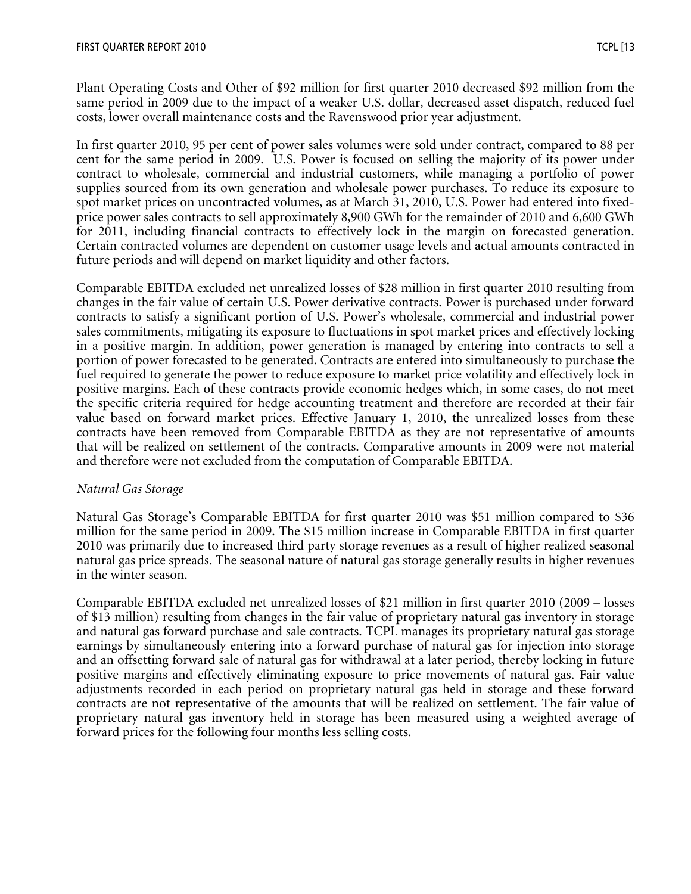Plant Operating Costs and Other of \$92 million for first quarter 2010 decreased \$92 million from the same period in 2009 due to the impact of a weaker U.S. dollar, decreased asset dispatch, reduced fuel costs, lower overall maintenance costs and the Ravenswood prior year adjustment.

In first quarter 2010, 95 per cent of power sales volumes were sold under contract, compared to 88 per cent for the same period in 2009. U.S. Power is focused on selling the majority of its power under contract to wholesale, commercial and industrial customers, while managing a portfolio of power supplies sourced from its own generation and wholesale power purchases. To reduce its exposure to spot market prices on uncontracted volumes, as at March 31, 2010, U.S. Power had entered into fixedprice power sales contracts to sell approximately 8,900 GWh for the remainder of 2010 and 6,600 GWh for 2011, including financial contracts to effectively lock in the margin on forecasted generation. Certain contracted volumes are dependent on customer usage levels and actual amounts contracted in future periods and will depend on market liquidity and other factors.

Comparable EBITDA excluded net unrealized losses of \$28 million in first quarter 2010 resulting from changes in the fair value of certain U.S. Power derivative contracts. Power is purchased under forward contracts to satisfy a significant portion of U.S. Power's wholesale, commercial and industrial power sales commitments, mitigating its exposure to fluctuations in spot market prices and effectively locking in a positive margin. In addition, power generation is managed by entering into contracts to sell a portion of power forecasted to be generated. Contracts are entered into simultaneously to purchase the fuel required to generate the power to reduce exposure to market price volatility and effectively lock in positive margins. Each of these contracts provide economic hedges which, in some cases, do not meet the specific criteria required for hedge accounting treatment and therefore are recorded at their fair value based on forward market prices. Effective January 1, 2010, the unrealized losses from these contracts have been removed from Comparable EBITDA as they are not representative of amounts that will be realized on settlement of the contracts. Comparative amounts in 2009 were not material and therefore were not excluded from the computation of Comparable EBITDA.

### *Natural Gas Storage*

Natural Gas Storage's Comparable EBITDA for first quarter 2010 was \$51 million compared to \$36 million for the same period in 2009. The \$15 million increase in Comparable EBITDA in first quarter 2010 was primarily due to increased third party storage revenues as a result of higher realized seasonal natural gas price spreads. The seasonal nature of natural gas storage generally results in higher revenues in the winter season.

Comparable EBITDA excluded net unrealized losses of \$21 million in first quarter 2010 (2009 – losses of \$13 million) resulting from changes in the fair value of proprietary natural gas inventory in storage and natural gas forward purchase and sale contracts. TCPL manages its proprietary natural gas storage earnings by simultaneously entering into a forward purchase of natural gas for injection into storage and an offsetting forward sale of natural gas for withdrawal at a later period, thereby locking in future positive margins and effectively eliminating exposure to price movements of natural gas. Fair value adjustments recorded in each period on proprietary natural gas held in storage and these forward contracts are not representative of the amounts that will be realized on settlement. The fair value of proprietary natural gas inventory held in storage has been measured using a weighted average of forward prices for the following four months less selling costs.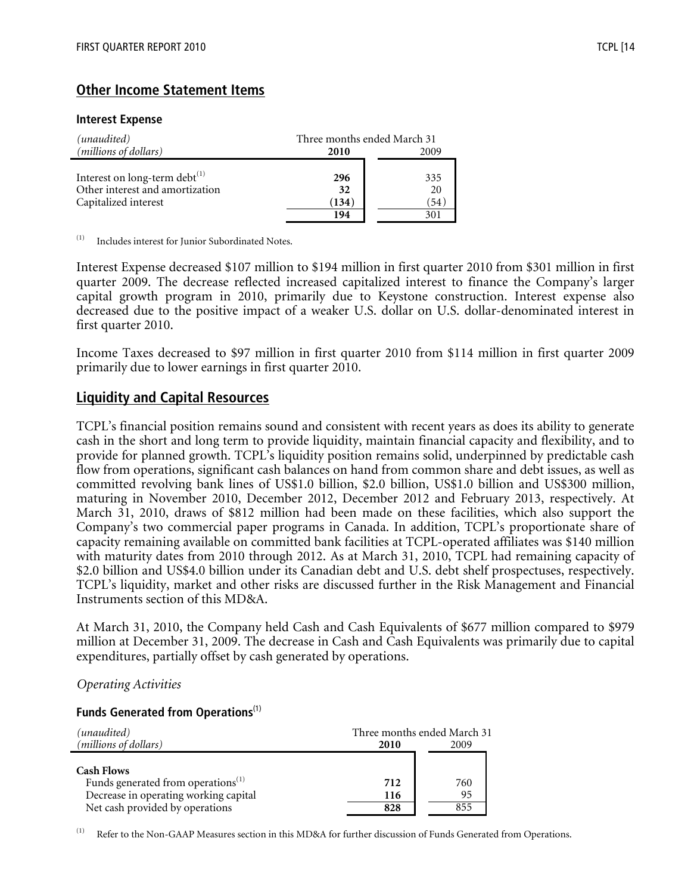#### **Interest Expense**

| (unaudited)                         | Three months ended March 31 |      |  |  |
|-------------------------------------|-----------------------------|------|--|--|
| (millions of dollars)               | 2010                        | 2009 |  |  |
|                                     |                             |      |  |  |
| Interest on long-term debt $^{(1)}$ | 296                         | 335  |  |  |
| Other interest and amortization     | 32                          | 20   |  |  |
| Capitalized interest                | (134)                       | (54) |  |  |
|                                     | 194                         | 301  |  |  |

(1) Includes interest for Junior Subordinated Notes.

Interest Expense decreased \$107 million to \$194 million in first quarter 2010 from \$301 million in first quarter 2009. The decrease reflected increased capitalized interest to finance the Company's larger capital growth program in 2010, primarily due to Keystone construction. Interest expense also decreased due to the positive impact of a weaker U.S. dollar on U.S. dollar-denominated interest in first quarter 2010.

Income Taxes decreased to \$97 million in first quarter 2010 from \$114 million in first quarter 2009 primarily due to lower earnings in first quarter 2010.

# **Liquidity and Capital Resources**

TCPL's financial position remains sound and consistent with recent years as does its ability to generate cash in the short and long term to provide liquidity, maintain financial capacity and flexibility, and to provide for planned growth. TCPL's liquidity position remains solid, underpinned by predictable cash flow from operations, significant cash balances on hand from common share and debt issues, as well as committed revolving bank lines of US\$1.0 billion, \$2.0 billion, US\$1.0 billion and US\$300 million, maturing in November 2010, December 2012, December 2012 and February 2013, respectively. At March 31, 2010, draws of \$812 million had been made on these facilities, which also support the Company's two commercial paper programs in Canada. In addition, TCPL's proportionate share of capacity remaining available on committed bank facilities at TCPL-operated affiliates was \$140 million with maturity dates from 2010 through 2012. As at March 31, 2010, TCPL had remaining capacity of \$2.0 billion and US\$4.0 billion under its Canadian debt and U.S. debt shelf prospectuses, respectively. TCPL's liquidity, market and other risks are discussed further in the Risk Management and Financial Instruments section of this MD&A.

At March 31, 2010, the Company held Cash and Cash Equivalents of \$677 million compared to \$979 million at December 31, 2009. The decrease in Cash and Cash Equivalents was primarily due to capital expenditures, partially offset by cash generated by operations.

*Operating Activities*

#### **Funds Generated from Operations**(1)

| (unaudited)                                    | Three months ended March 31 |      |  |  |
|------------------------------------------------|-----------------------------|------|--|--|
| (millions of dollars)                          | 2010                        | 2009 |  |  |
|                                                |                             |      |  |  |
| <b>Cash Flows</b>                              |                             |      |  |  |
| Funds generated from operations <sup>(1)</sup> | 712                         | 760  |  |  |
| Decrease in operating working capital          | 116                         | 95   |  |  |
| Net cash provided by operations                | 828                         | 855  |  |  |

Refer to the Non-GAAP Measures section in this MD&A for further discussion of Funds Generated from Operations.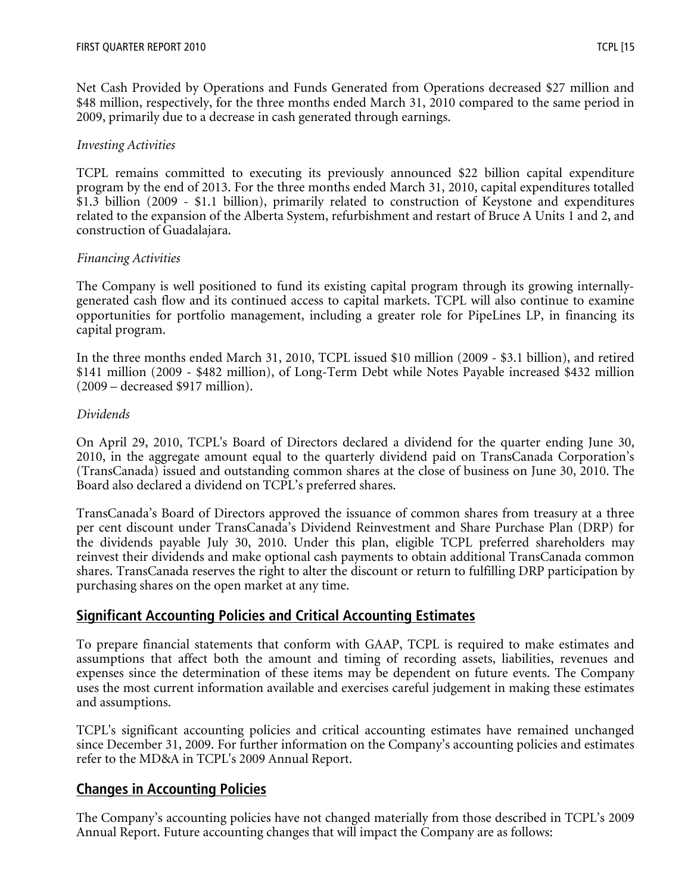Net Cash Provided by Operations and Funds Generated from Operations decreased \$27 million and \$48 million, respectively, for the three months ended March 31, 2010 compared to the same period in 2009, primarily due to a decrease in cash generated through earnings.

## *Investing Activities*

TCPL remains committed to executing its previously announced \$22 billion capital expenditure program by the end of 2013. For the three months ended March 31, 2010, capital expenditures totalled \$1.3 billion (2009 - \$1.1 billion), primarily related to construction of Keystone and expenditures related to the expansion of the Alberta System, refurbishment and restart of Bruce A Units 1 and 2, and construction of Guadalajara.

## *Financing Activities*

The Company is well positioned to fund its existing capital program through its growing internallygenerated cash flow and its continued access to capital markets. TCPL will also continue to examine opportunities for portfolio management, including a greater role for PipeLines LP, in financing its capital program.

In the three months ended March 31, 2010, TCPL issued \$10 million (2009 - \$3.1 billion), and retired \$141 million (2009 - \$482 million), of Long-Term Debt while Notes Payable increased \$432 million (2009 – decreased \$917 million).

## *Dividends*

On April 29, 2010, TCPL's Board of Directors declared a dividend for the quarter ending June 30, 2010, in the aggregate amount equal to the quarterly dividend paid on TransCanada Corporation's (TransCanada) issued and outstanding common shares at the close of business on June 30, 2010. The Board also declared a dividend on TCPL's preferred shares.

TransCanada's Board of Directors approved the issuance of common shares from treasury at a three per cent discount under TransCanada's Dividend Reinvestment and Share Purchase Plan (DRP) for the dividends payable July 30, 2010. Under this plan, eligible TCPL preferred shareholders may reinvest their dividends and make optional cash payments to obtain additional TransCanada common shares. TransCanada reserves the right to alter the discount or return to fulfilling DRP participation by purchasing shares on the open market at any time.

# **Significant Accounting Policies and Critical Accounting Estimates**

To prepare financial statements that conform with GAAP, TCPL is required to make estimates and assumptions that affect both the amount and timing of recording assets, liabilities, revenues and expenses since the determination of these items may be dependent on future events. The Company uses the most current information available and exercises careful judgement in making these estimates and assumptions.

TCPL's significant accounting policies and critical accounting estimates have remained unchanged since December 31, 2009. For further information on the Company's accounting policies and estimates refer to the MD&A in TCPL's 2009 Annual Report.

# **Changes in Accounting Policies**

The Company's accounting policies have not changed materially from those described in TCPL's 2009 Annual Report. Future accounting changes that will impact the Company are as follows: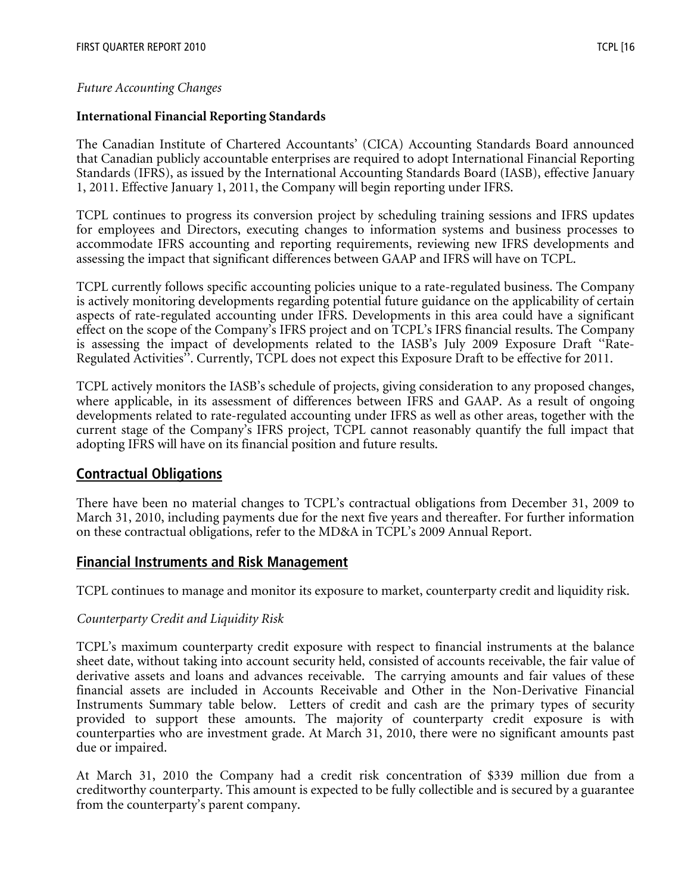# *Future Accounting Changes*

# **International Financial Reporting Standards**

The Canadian Institute of Chartered Accountants' (CICA) Accounting Standards Board announced that Canadian publicly accountable enterprises are required to adopt International Financial Reporting Standards (IFRS), as issued by the International Accounting Standards Board (IASB), effective January 1, 2011. Effective January 1, 2011, the Company will begin reporting under IFRS.

TCPL continues to progress its conversion project by scheduling training sessions and IFRS updates for employees and Directors, executing changes to information systems and business processes to accommodate IFRS accounting and reporting requirements, reviewing new IFRS developments and assessing the impact that significant differences between GAAP and IFRS will have on TCPL.

TCPL currently follows specific accounting policies unique to a rate-regulated business. The Company is actively monitoring developments regarding potential future guidance on the applicability of certain aspects of rate-regulated accounting under IFRS. Developments in this area could have a significant effect on the scope of the Company's IFRS project and on TCPL's IFRS financial results. The Company is assessing the impact of developments related to the IASB's July 2009 Exposure Draft ''Rate-Regulated Activities''. Currently, TCPL does not expect this Exposure Draft to be effective for 2011.

TCPL actively monitors the IASB's schedule of projects, giving consideration to any proposed changes, where applicable, in its assessment of differences between IFRS and GAAP. As a result of ongoing developments related to rate-regulated accounting under IFRS as well as other areas, together with the current stage of the Company's IFRS project, TCPL cannot reasonably quantify the full impact that adopting IFRS will have on its financial position and future results.

# **Contractual Obligations**

There have been no material changes to TCPL's contractual obligations from December 31, 2009 to March 31, 2010, including payments due for the next five years and thereafter. For further information on these contractual obligations, refer to the MD&A in TCPL's 2009 Annual Report.

# **Financial Instruments and Risk Management**

TCPL continues to manage and monitor its exposure to market, counterparty credit and liquidity risk.

# *Counterparty Credit and Liquidity Risk*

TCPL's maximum counterparty credit exposure with respect to financial instruments at the balance sheet date, without taking into account security held, consisted of accounts receivable, the fair value of derivative assets and loans and advances receivable. The carrying amounts and fair values of these financial assets are included in Accounts Receivable and Other in the Non-Derivative Financial Instruments Summary table below. Letters of credit and cash are the primary types of security provided to support these amounts. The majority of counterparty credit exposure is with counterparties who are investment grade. At March 31, 2010, there were no significant amounts past due or impaired.

At March 31, 2010 the Company had a credit risk concentration of \$339 million due from a creditworthy counterparty. This amount is expected to be fully collectible and is secured by a guarantee from the counterparty's parent company.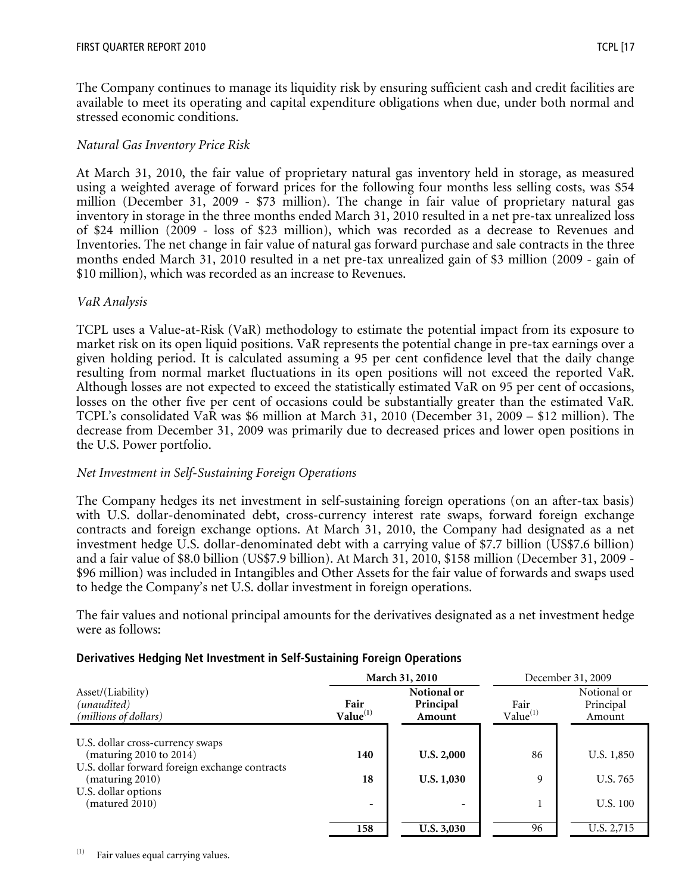The Company continues to manage its liquidity risk by ensuring sufficient cash and credit facilities are available to meet its operating and capital expenditure obligations when due, under both normal and stressed economic conditions.

# *Natural Gas Inventory Price Risk*

At March 31, 2010, the fair value of proprietary natural gas inventory held in storage, as measured using a weighted average of forward prices for the following four months less selling costs, was \$54 million (December 31, 2009 - \$73 million). The change in fair value of proprietary natural gas inventory in storage in the three months ended March 31, 2010 resulted in a net pre-tax unrealized loss of \$24 million (2009 - loss of \$23 million), which was recorded as a decrease to Revenues and Inventories. The net change in fair value of natural gas forward purchase and sale contracts in the three months ended March 31, 2010 resulted in a net pre-tax unrealized gain of \$3 million (2009 - gain of \$10 million), which was recorded as an increase to Revenues.

## *VaR Analysis*

TCPL uses a Value-at-Risk (VaR) methodology to estimate the potential impact from its exposure to market risk on its open liquid positions. VaR represents the potential change in pre-tax earnings over a given holding period. It is calculated assuming a 95 per cent confidence level that the daily change resulting from normal market fluctuations in its open positions will not exceed the reported VaR. Although losses are not expected to exceed the statistically estimated VaR on 95 per cent of occasions, losses on the other five per cent of occasions could be substantially greater than the estimated VaR. TCPL's consolidated VaR was \$6 million at March 31, 2010 (December 31, 2009 – \$12 million). The decrease from December 31, 2009 was primarily due to decreased prices and lower open positions in the U.S. Power portfolio.

### *Net Investment in Self-Sustaining Foreign Operations*

The Company hedges its net investment in self-sustaining foreign operations (on an after-tax basis) with U.S. dollar-denominated debt, cross-currency interest rate swaps, forward foreign exchange contracts and foreign exchange options. At March 31, 2010, the Company had designated as a net investment hedge U.S. dollar-denominated debt with a carrying value of \$7.7 billion (US\$7.6 billion) and a fair value of \$8.0 billion (US\$7.9 billion). At March 31, 2010, \$158 million (December 31, 2009 - \$96 million) was included in Intangibles and Other Assets for the fair value of forwards and swaps used to hedge the Company's net U.S. dollar investment in foreign operations.

The fair values and notional principal amounts for the derivatives designated as a net investment hedge were as follows:

# **Derivatives Hedging Net Investment in Self-Sustaining Foreign Operations**

|                                                                   |                                                                    | March 31, 2010           | December 31, 2009            |                                    |  |
|-------------------------------------------------------------------|--------------------------------------------------------------------|--------------------------|------------------------------|------------------------------------|--|
| Asset/(Liability)<br>(unaudited)<br>(millions of dollars)         | Notional or<br>Fair<br>Principal<br>Value <sup>(1)</sup><br>Amount |                          | Fair<br>Value <sup>(1)</sup> | Notional or<br>Principal<br>Amount |  |
| U.S. dollar cross-currency swaps                                  |                                                                    |                          |                              |                                    |  |
| (maturing $2010$ to $2014$ )                                      | 140                                                                | <b>U.S. 2,000</b>        | 86                           | U.S. 1,850                         |  |
| U.S. dollar forward foreign exchange contracts<br>(maturing 2010) | 18                                                                 | <b>U.S. 1,030</b>        | 9                            | U.S. 765                           |  |
| U.S. dollar options<br>(matured 2010)                             | $\overline{\phantom{a}}$                                           | $\overline{\phantom{0}}$ |                              | U.S. 100                           |  |
|                                                                   | 158                                                                | U.S. 3,030               | 96                           | U.S. 2,715                         |  |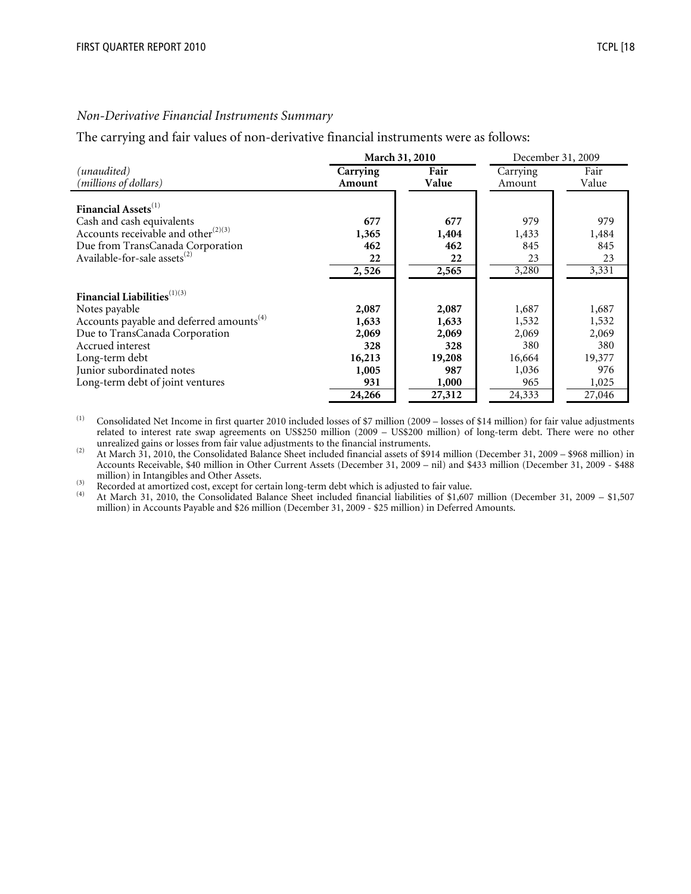#### *Non-Derivative Financial Instruments Summary*

The carrying and fair values of non-derivative financial instruments were as follows:

|                                                                                                                                                                                                                                                           |                                                          | March 31, 2010                                           | December 31, 2009                                        |                                                          |  |
|-----------------------------------------------------------------------------------------------------------------------------------------------------------------------------------------------------------------------------------------------------------|----------------------------------------------------------|----------------------------------------------------------|----------------------------------------------------------|----------------------------------------------------------|--|
| (unaudited)                                                                                                                                                                                                                                               | Carrying                                                 | Fair                                                     | Carrying                                                 | Fair                                                     |  |
| (millions of dollars)                                                                                                                                                                                                                                     | Amount                                                   | Value                                                    | Amount                                                   | Value                                                    |  |
| Financial Assets <sup>(1)</sup><br>Cash and cash equivalents<br>Accounts receivable and other $^{(2)(3)}$<br>Due from TransCanada Corporation<br>Available-for-sale assets <sup>(2)</sup>                                                                 | 677<br>1,365<br>462<br>22<br>2,526                       | 677<br>1,404<br>462<br>22<br>2,565                       | 979<br>1,433<br>845<br>23<br>3,280                       | 979<br>1,484<br>845<br>23<br>3,331                       |  |
| Financial Liabilities <sup>(1)(3)</sup><br>Notes payable<br>Accounts payable and deferred amounts <sup>(4)</sup><br>Due to TransCanada Corporation<br>Accrued interest<br>Long-term debt<br>Junior subordinated notes<br>Long-term debt of joint ventures | 2,087<br>1,633<br>2,069<br>328<br>16,213<br>1,005<br>931 | 2,087<br>1,633<br>2,069<br>328<br>19,208<br>987<br>1,000 | 1,687<br>1,532<br>2,069<br>380<br>16,664<br>1,036<br>965 | 1,687<br>1,532<br>2,069<br>380<br>19,377<br>976<br>1,025 |  |
|                                                                                                                                                                                                                                                           | 24,266                                                   | 27,312                                                   | 24,333                                                   | 27,046                                                   |  |

(1) Consolidated Net Income in first quarter 2010 included losses of \$7 million (2009 – losses of \$14 million) for fair value adjustments related to interest rate swap agreements on US\$250 million (2009 – US\$200 million) of long-term debt. There were no other unrealized gains or losses from fair value adjustments to the financial instruments.

 $\mu$ <sup>(2)</sup> At March 31, 2010, the Consolidated Balance Sheet included financial assets of \$914 million (December 31, 2009 – \$968 million) in Accounts Receivable, \$40 million in Other Current Assets (December 31, 2009 – nil) and \$433 million (December 31, 2009 - \$488

million) in Intangibles and Other Assets.<br><sup>(3)</sup> Recorded at amortized cost, except for certain long-term debt which is adjusted to fair value.<br><sup>(4)</sup> At March 31, 2010, the Consolidated Balance Sheet included financial liab million) in Accounts Payable and \$26 million (December 31, 2009 - \$25 million) in Deferred Amounts.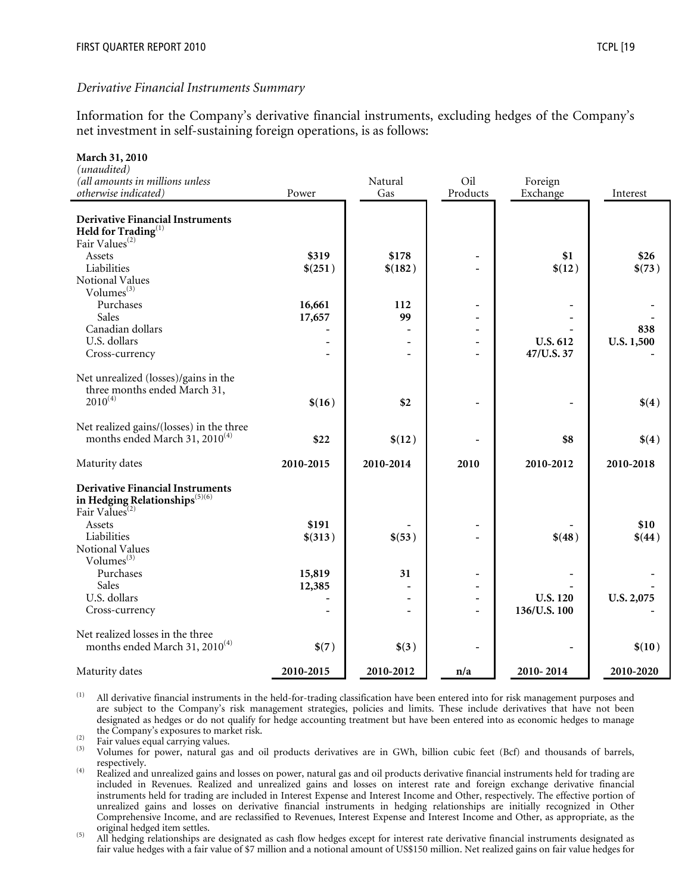**March 31, 2010** 

Information for the Company's derivative financial instruments, excluding hedges of the Company's net investment in self-sustaining foreign operations, is as follows:

| <b>March 31, 2010</b><br>(unaudited)<br>(all amounts in millions unless<br>otherwise indicated)                     | Power     | Natural<br>Gas           | Oil<br>Products | Foreign<br>Exchange | Interest   |
|---------------------------------------------------------------------------------------------------------------------|-----------|--------------------------|-----------------|---------------------|------------|
| <b>Derivative Financial Instruments</b><br>Held for $\operatorname{Trading}^{(1)}$<br>Fair Values <sup>(2)</sup>    |           |                          |                 |                     |            |
| Assets                                                                                                              | \$319     | \$178                    |                 | \$1                 | \$26       |
| Liabilities                                                                                                         | \$(251)   | \$(182)                  |                 | \$(12)              | \$(73)     |
| Notional Values                                                                                                     |           |                          |                 |                     |            |
| Volumes <sup>(3)</sup>                                                                                              |           |                          |                 |                     |            |
| Purchases                                                                                                           | 16,661    | 112                      |                 |                     |            |
| Sales                                                                                                               | 17,657    | 99                       |                 |                     |            |
| Canadian dollars                                                                                                    |           |                          |                 |                     | 838        |
| U.S. dollars                                                                                                        |           |                          |                 | U.S. 612            | U.S. 1,500 |
| Cross-currency                                                                                                      |           |                          |                 | 47/U.S. 37          |            |
| Net unrealized (losses)/gains in the<br>three months ended March 31,<br>$2010^{(4)}$                                |           | \$2                      |                 |                     |            |
|                                                                                                                     | \$(16)    |                          |                 |                     | \$(4)      |
| Net realized gains/(losses) in the three<br>months ended March 31, 2010 <sup>(4)</sup>                              | \$22      | \$(12)                   |                 | \$8                 | \$(4)      |
| Maturity dates                                                                                                      | 2010-2015 | 2010-2014                | 2010            | 2010-2012           | 2010-2018  |
| <b>Derivative Financial Instruments</b><br>in Hedging Relationships <sup>(5)(6)</sup><br>Fair Values <sup>(2)</sup> |           |                          |                 |                     |            |
| Assets                                                                                                              | \$191     |                          |                 |                     | \$10       |
| Liabilities                                                                                                         | \$(313)   | \$(53)                   |                 | \$(48)              | \$(44)     |
| Notional Values                                                                                                     |           |                          |                 |                     |            |
| Volumes $^{(3)}$                                                                                                    |           |                          |                 |                     |            |
| Purchases                                                                                                           | 15,819    | 31                       |                 |                     |            |
| Sales                                                                                                               | 12,385    |                          |                 |                     |            |
| U.S. dollars                                                                                                        |           | $\overline{\phantom{a}}$ |                 | <b>U.S. 120</b>     | U.S. 2,075 |
| Cross-currency                                                                                                      |           |                          |                 | 136/U.S. 100        |            |
| Net realized losses in the three<br>months ended March 31, 2010 <sup>(4)</sup>                                      | \$(7)     | \$(3)                    |                 |                     | \$(10)     |
| Maturity dates                                                                                                      | 2010-2015 | 2010-2012                | n/a             | 2010-2014           | 2010-2020  |

 $^{(1)}$  All derivative financial instruments in the held-for-trading classification have been entered into for risk management purposes and are subject to the Company's risk management strategies, policies and limits. These include derivatives that have not been designated as hedges or do not qualify for hedge accounting treatment but have been entered into as economic hedges to manage

the Company's exposures to market risk.<br>
(2) Fair values equal carrying values.<br>
(3) Volumes for power, natural gas and oil products derivatives are in GWh, billion cubic feet (Bcf) and thousands of barrels,<br>
respectively

respectively. (4) Realized and unrealized gains and losses on power, natural gas and oil products derivative financial instruments held for trading are included in Revenues. Realized and unrealized gains and losses on interest rate and foreign exchange derivative financial instruments held for trading are included in Interest Expense and Interest Income and Other, respectively. The effective portion of unrealized gains and losses on derivative financial instruments in hedging relationships are initially recognized in Other Comprehensive Income, and are reclassified to Revenues, Interest Expense and Interest Income and Other, as appropriate, as the

original hedged item settles.<br>
(5) All hedging relationships are designated as cash flow hedges except for interest rate derivative financial instruments designated as fair value hedges with a fair value of \$7 million and a notional amount of US\$150 million. Net realized gains on fair value hedges for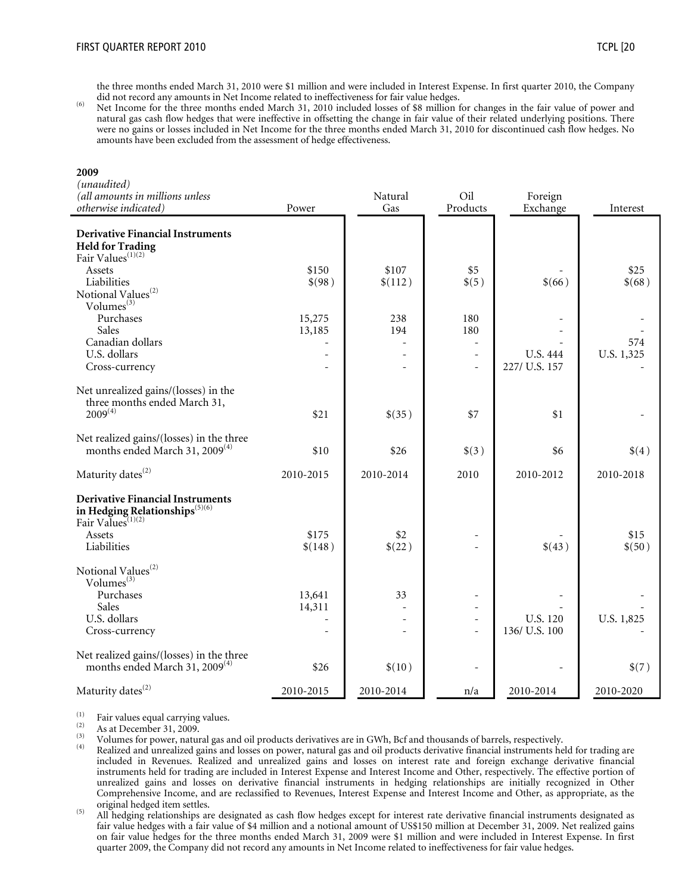the three months ended March 31, 2010 were \$1 million and were included in Interest Expense. In first quarter 2010, the Company

did not record any amounts in Net Income related to ineffectiveness for fair value hedges.<br><sup>(6)</sup> Net Income for the three months ended March 31, 2010 included losses of \$8 million for changes in the fair value of power an natural gas cash flow hedges that were ineffective in offsetting the change in fair value of their related underlying positions. There were no gains or losses included in Net Income for the three months ended March 31, 2010 for discontinued cash flow hedges. No amounts have been excluded from the assessment of hedge effectiveness.

#### **2009**

| (unaudited)<br>(all amounts in millions unless<br>otherwise indicated)                                                 | Power                    | Natural<br>Gas | Oil<br>Products          | Foreign<br>Exchange | Interest   |
|------------------------------------------------------------------------------------------------------------------------|--------------------------|----------------|--------------------------|---------------------|------------|
|                                                                                                                        |                          |                |                          |                     |            |
| <b>Derivative Financial Instruments</b><br>Held for Trading<br>Fair Values <sup>(1)(2)</sup>                           |                          |                |                          |                     |            |
| Assets                                                                                                                 | \$150                    | \$107          | \$5                      |                     | \$25       |
| Liabilities                                                                                                            | \$(98)                   | \$(112)        | \$(5)                    | \$(66)              | \$(68)     |
| $\begin{array}{c} \rm Notional\ Values^{(2)}\\ \rm Volumes^{(3)} \end{array}$                                          |                          |                |                          |                     |            |
| Purchases                                                                                                              | 15,275                   | 238            | 180                      |                     |            |
| Sales                                                                                                                  | 13,185                   | 194            | 180                      |                     |            |
| Canadian dollars                                                                                                       |                          | ÷.             | ÷,                       |                     | 574        |
| U.S. dollars                                                                                                           | $\overline{\phantom{a}}$ |                | $\overline{\phantom{a}}$ | <b>U.S. 444</b>     | U.S. 1,325 |
| Cross-currency                                                                                                         |                          |                |                          | 227/ U.S. 157       |            |
| Net unrealized gains/(losses) in the<br>three months ended March 31,                                                   |                          |                |                          |                     |            |
| $2009^{(4)}$                                                                                                           | \$21                     | \$(35)         | \$7                      | \$1                 |            |
|                                                                                                                        |                          |                |                          |                     |            |
| Net realized gains/(losses) in the three<br>months ended March 31, 2009 <sup>(4)</sup>                                 | \$10                     | \$26           | \$(3)                    | \$6                 | \$(4)      |
| Maturity dates <sup>(2)</sup>                                                                                          | 2010-2015                | 2010-2014      | 2010                     | 2010-2012           | 2010-2018  |
| <b>Derivative Financial Instruments</b><br>in Hedging Relationships <sup>(5)(6)</sup><br>Fair Values <sup>(1)(2)</sup> |                          |                |                          |                     |            |
| Assets                                                                                                                 | \$175                    | \$2            |                          |                     | \$15       |
| Liabilities                                                                                                            | \$(148)                  | \$(22)         |                          | \$(43)              | \$(50)     |
| Notional Values <sup>(2)</sup><br>Volumes <sup>(3)</sup>                                                               |                          |                |                          |                     |            |
| Purchases                                                                                                              | 13,641                   | 33             |                          |                     |            |
| Sales                                                                                                                  | 14,311                   |                | ÷,                       |                     |            |
| U.S. dollars                                                                                                           | L.                       |                | ÷.                       | U.S. 120            | U.S. 1,825 |
| Cross-currency                                                                                                         |                          |                |                          | 136/ U.S. 100       |            |
| Net realized gains/(losses) in the three<br>months ended March 31, 2009 <sup>(4)</sup>                                 | \$26                     | \$(10)         |                          |                     | \$(7)      |
| Maturity dates <sup>(2)</sup>                                                                                          | 2010-2015                | 2010-2014      | n/a                      | 2010-2014           | 2010-2020  |

(1) Fair values equal carrying values.<br>
(2) As at December 31, 2009.<br>
(3) Volumes for power, natural gas and oil products derivatives are in GWh, Bcf and thousands of barrels, respectively.

- <sup>(4)</sup> Realized and unrealized gains and losses on power, natural gas and oil products derivative financial instruments held for trading are included in Revenues. Realized and unrealized gains and losses on interest rate and foreign exchange derivative financial instruments held for trading are included in Interest Expense and Interest Income and Other, respectively. The effective portion of unrealized gains and losses on derivative financial instruments in hedging relationships are initially recognized in Other Comprehensive Income, and are reclassified to Revenues, Interest Expense and Interest Income and Other, as appropriate, as the original hedged item settles.<br>
(5) All hedging relationships are designated as cash flow hedges except for interest rate derivative financial instruments designated as
- fair value hedges with a fair value of \$4 million and a notional amount of US\$150 million at December 31, 2009. Net realized gains on fair value hedges for the three months ended March 31, 2009 were \$1 million and were included in Interest Expense. In first quarter 2009, the Company did not record any amounts in Net Income related to ineffectiveness for fair value hedges.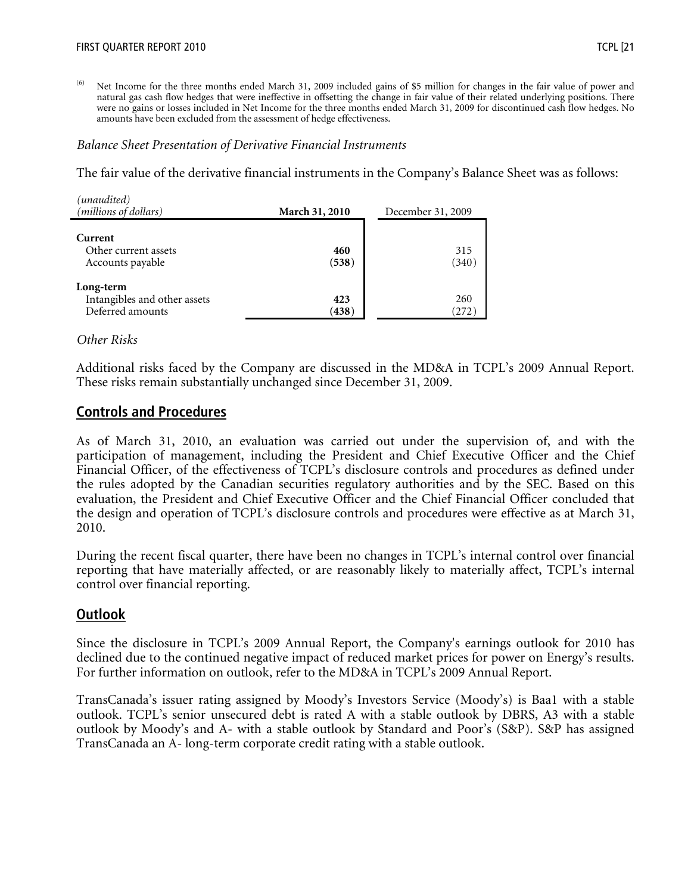<sup>(6)</sup> Net Income for the three months ended March 31, 2009 included gains of \$5 million for changes in the fair value of power and natural gas cash flow hedges that were ineffective in offsetting the change in fair value of their related underlying positions. There were no gains or losses included in Net Income for the three months ended March 31, 2009 for discontinued cash flow hedges. No amounts have been excluded from the assessment of hedge effectiveness.

#### *Balance Sheet Presentation of Derivative Financial Instruments*

The fair value of the derivative financial instruments in the Company's Balance Sheet was as follows:

| (unaudited)<br>(millions of dollars)                          | March 31, 2010 | December 31, 2009 |
|---------------------------------------------------------------|----------------|-------------------|
| Current<br>Other current assets<br>Accounts payable           | 460<br>(538)   | 315<br>(340)      |
| Long-term<br>Intangibles and other assets<br>Deferred amounts | 423<br>(438)   | 260<br>(272)      |

#### *Other Risks*

Additional risks faced by the Company are discussed in the MD&A in TCPL's 2009 Annual Report. These risks remain substantially unchanged since December 31, 2009.

## **Controls and Procedures**

As of March 31, 2010, an evaluation was carried out under the supervision of, and with the participation of management, including the President and Chief Executive Officer and the Chief Financial Officer, of the effectiveness of TCPL's disclosure controls and procedures as defined under the rules adopted by the Canadian securities regulatory authorities and by the SEC. Based on this evaluation, the President and Chief Executive Officer and the Chief Financial Officer concluded that the design and operation of TCPL's disclosure controls and procedures were effective as at March 31, 2010.

During the recent fiscal quarter, there have been no changes in TCPL's internal control over financial reporting that have materially affected, or are reasonably likely to materially affect, TCPL's internal control over financial reporting.

# **Outlook**

Since the disclosure in TCPL's 2009 Annual Report, the Company's earnings outlook for 2010 has declined due to the continued negative impact of reduced market prices for power on Energy's results. For further information on outlook, refer to the MD&A in TCPL's 2009 Annual Report.

TransCanada's issuer rating assigned by Moody's Investors Service (Moody's) is Baa1 with a stable outlook. TCPL's senior unsecured debt is rated A with a stable outlook by DBRS, A3 with a stable outlook by Moody's and A- with a stable outlook by Standard and Poor's (S&P). S&P has assigned TransCanada an A- long-term corporate credit rating with a stable outlook.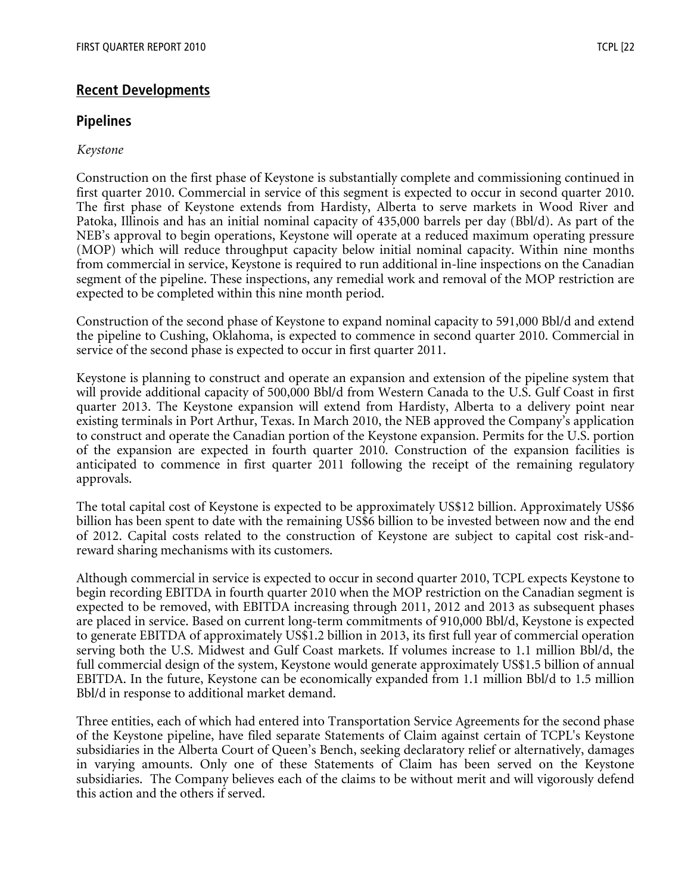# **Recent Developments**

# **Pipelines**

# *Keystone*

Construction on the first phase of Keystone is substantially complete and commissioning continued in first quarter 2010. Commercial in service of this segment is expected to occur in second quarter 2010. The first phase of Keystone extends from Hardisty, Alberta to serve markets in Wood River and Patoka, Illinois and has an initial nominal capacity of 435,000 barrels per day (Bbl/d). As part of the NEB's approval to begin operations, Keystone will operate at a reduced maximum operating pressure (MOP) which will reduce throughput capacity below initial nominal capacity. Within nine months from commercial in service, Keystone is required to run additional in-line inspections on the Canadian segment of the pipeline. These inspections, any remedial work and removal of the MOP restriction are expected to be completed within this nine month period.

Construction of the second phase of Keystone to expand nominal capacity to 591,000 Bbl/d and extend the pipeline to Cushing, Oklahoma, is expected to commence in second quarter 2010. Commercial in service of the second phase is expected to occur in first quarter 2011.

Keystone is planning to construct and operate an expansion and extension of the pipeline system that will provide additional capacity of 500,000 Bbl/d from Western Canada to the U.S. Gulf Coast in first quarter 2013. The Keystone expansion will extend from Hardisty, Alberta to a delivery point near existing terminals in Port Arthur, Texas. In March 2010, the NEB approved the Company's application to construct and operate the Canadian portion of the Keystone expansion. Permits for the U.S. portion of the expansion are expected in fourth quarter 2010. Construction of the expansion facilities is anticipated to commence in first quarter 2011 following the receipt of the remaining regulatory approvals.

The total capital cost of Keystone is expected to be approximately US\$12 billion. Approximately US\$6 billion has been spent to date with the remaining US\$6 billion to be invested between now and the end of 2012. Capital costs related to the construction of Keystone are subject to capital cost risk-andreward sharing mechanisms with its customers.

Although commercial in service is expected to occur in second quarter 2010, TCPL expects Keystone to begin recording EBITDA in fourth quarter 2010 when the MOP restriction on the Canadian segment is expected to be removed, with EBITDA increasing through 2011, 2012 and 2013 as subsequent phases are placed in service. Based on current long-term commitments of 910,000 Bbl/d, Keystone is expected to generate EBITDA of approximately US\$1.2 billion in 2013, its first full year of commercial operation serving both the U.S. Midwest and Gulf Coast markets. If volumes increase to 1.1 million Bbl/d, the full commercial design of the system, Keystone would generate approximately US\$1.5 billion of annual EBITDA. In the future, Keystone can be economically expanded from 1.1 million Bbl/d to 1.5 million Bbl/d in response to additional market demand.

Three entities, each of which had entered into Transportation Service Agreements for the second phase of the Keystone pipeline, have filed separate Statements of Claim against certain of TCPL's Keystone subsidiaries in the Alberta Court of Queen's Bench, seeking declaratory relief or alternatively, damages in varying amounts. Only one of these Statements of Claim has been served on the Keystone subsidiaries. The Company believes each of the claims to be without merit and will vigorously defend this action and the others if served.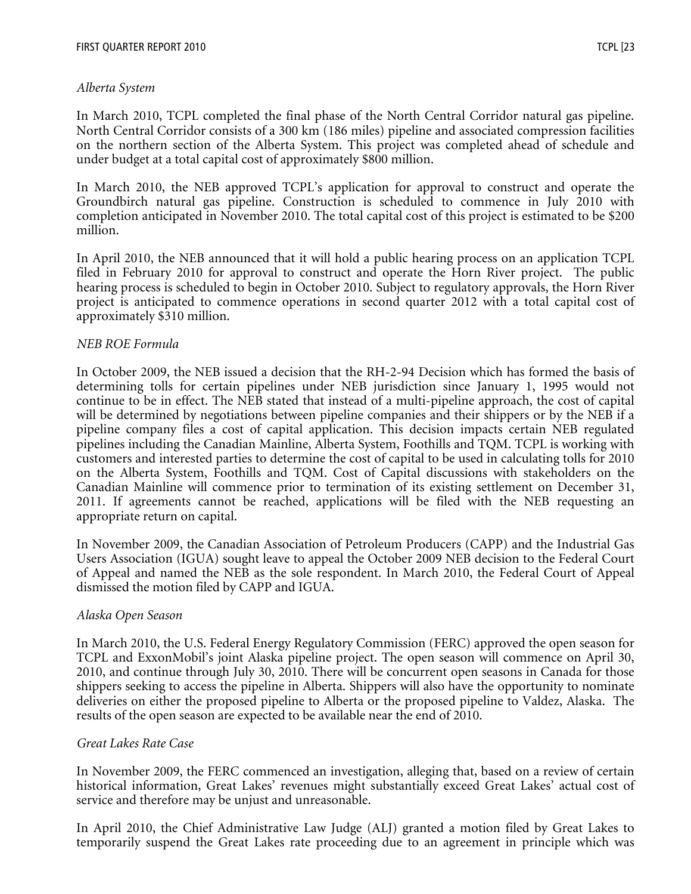## *Alberta System*

In March 2010, TCPL completed the final phase of the North Central Corridor natural gas pipeline. North Central Corridor consists of a 300 km (186 miles) pipeline and associated compression facilities on the northern section of the Alberta System. This project was completed ahead of schedule and under budget at a total capital cost of approximately \$800 million.

In March 2010, the NEB approved TCPL's application for approval to construct and operate the Groundbirch natural gas pipeline. Construction is scheduled to commence in July 2010 with completion anticipated in November 2010. The total capital cost of this project is estimated to be \$200 million.

In April 2010, the NEB announced that it will hold a public hearing process on an application TCPL filed in February 2010 for approval to construct and operate the Horn River project. The public hearing process is scheduled to begin in October 2010. Subject to regulatory approvals, the Horn River project is anticipated to commence operations in second quarter 2012 with a total capital cost of approximately \$310 million.

## *NEB ROE Formula*

In October 2009, the NEB issued a decision that the RH-2-94 Decision which has formed the basis of determining tolls for certain pipelines under NEB jurisdiction since January 1, 1995 would not continue to be in effect. The NEB stated that instead of a multi-pipeline approach, the cost of capital will be determined by negotiations between pipeline companies and their shippers or by the NEB if a pipeline company files a cost of capital application. This decision impacts certain NEB regulated pipelines including the Canadian Mainline, Alberta System, Foothills and TQM. TCPL is working with customers and interested parties to determine the cost of capital to be used in calculating tolls for 2010 on the Alberta System, Foothills and TQM. Cost of Capital discussions with stakeholders on the Canadian Mainline will commence prior to termination of its existing settlement on December 31, 2011. If agreements cannot be reached, applications will be filed with the NEB requesting an appropriate return on capital.

In November 2009, the Canadian Association of Petroleum Producers (CAPP) and the Industrial Gas Users Association (IGUA) sought leave to appeal the October 2009 NEB decision to the Federal Court of Appeal and named the NEB as the sole respondent. In March 2010, the Federal Court of Appeal dismissed the motion filed by CAPP and IGUA.

### *Alaska Open Season*

In March 2010, the U.S. Federal Energy Regulatory Commission (FERC) approved the open season for TCPL and ExxonMobil's joint Alaska pipeline project. The open season will commence on April 30, 2010, and continue through July 30, 2010. There will be concurrent open seasons in Canada for those shippers seeking to access the pipeline in Alberta. Shippers will also have the opportunity to nominate deliveries on either the proposed pipeline to Alberta or the proposed pipeline to Valdez, Alaska. The results of the open season are expected to be available near the end of 2010.

### *Great Lakes Rate Case*

In November 2009, the FERC commenced an investigation, alleging that, based on a review of certain historical information, Great Lakes' revenues might substantially exceed Great Lakes' actual cost of service and therefore may be unjust and unreasonable.

In April 2010, the Chief Administrative Law Judge (ALJ) granted a motion filed by Great Lakes to temporarily suspend the Great Lakes rate proceeding due to an agreement in principle which was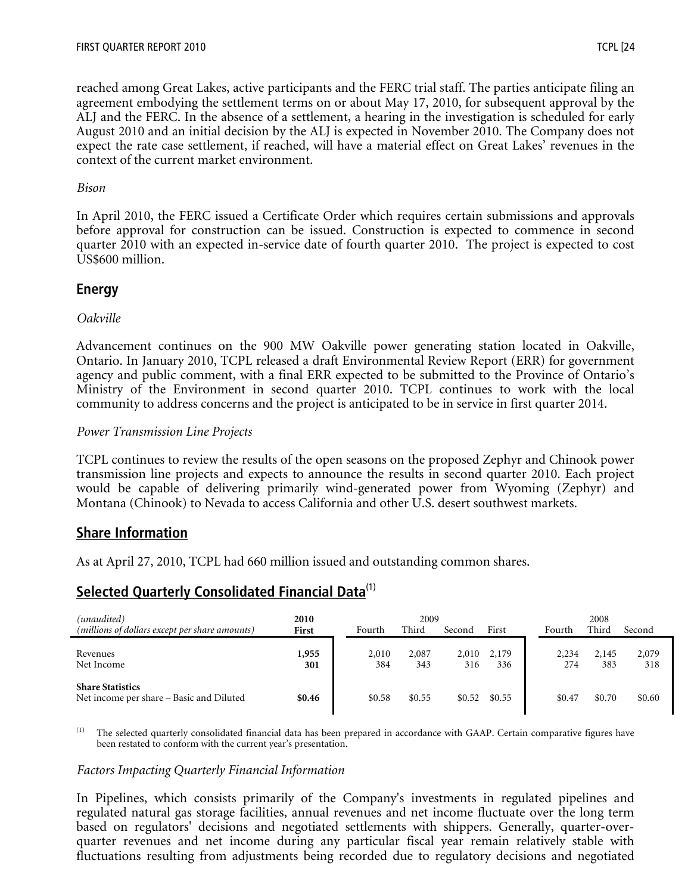reached among Great Lakes, active participants and the FERC trial staff. The parties anticipate filing an agreement embodying the settlement terms on or about May 17, 2010, for subsequent approval by the ALJ and the FERC. In the absence of a settlement, a hearing in the investigation is scheduled for early August 2010 and an initial decision by the ALJ is expected in November 2010. The Company does not expect the rate case settlement, if reached, will have a material effect on Great Lakes' revenues in the context of the current market environment.

# *Bison*

In April 2010, the FERC issued a Certificate Order which requires certain submissions and approvals before approval for construction can be issued. Construction is expected to commence in second quarter 2010 with an expected in-service date of fourth quarter 2010. The project is expected to cost US\$600 million.

# **Energy**

## *Oakville*

Advancement continues on the 900 MW Oakville power generating station located in Oakville, Ontario. In January 2010, TCPL released a draft Environmental Review Report (ERR) for government agency and public comment, with a final ERR expected to be submitted to the Province of Ontario's Ministry of the Environment in second quarter 2010. TCPL continues to work with the local community to address concerns and the project is anticipated to be in service in first quarter 2014.

## *Power Transmission Line Projects*

TCPL continues to review the results of the open seasons on the proposed Zephyr and Chinook power transmission line projects and expects to announce the results in second quarter 2010. Each project would be capable of delivering primarily wind-generated power from Wyoming (Zephyr) and Montana (Chinook) to Nevada to access California and other U.S. desert southwest markets.

# **Share Information**

As at April 27, 2010, TCPL had 660 million issued and outstanding common shares.

# **Selected Quarterly Consolidated Financial Data**<sup>(1)</sup>

| (unaudited)                                                         | 2010         |              | 2009         |              |              |              | 2008         |              |
|---------------------------------------------------------------------|--------------|--------------|--------------|--------------|--------------|--------------|--------------|--------------|
| (millions of dollars except per share amounts)                      | First        | Fourth       | Third        | Second       | First        | Fourth       | Third        | Second       |
| Revenues<br>Net Income                                              | 1,955<br>301 | 2,010<br>384 | 2,087<br>343 | 2,010<br>316 | 2,179<br>336 | 2,234<br>274 | 2,145<br>383 | 2,079<br>318 |
| <b>Share Statistics</b><br>Net income per share – Basic and Diluted | \$0.46       | \$0.58       | \$0.55       | \$0.52       | \$0.55       | \$0.47       | \$0.70       | \$0.60       |

<sup>(1)</sup> The selected quarterly consolidated financial data has been prepared in accordance with GAAP. Certain comparative figures have been restated to conform with the current year's presentation.

### *Factors Impacting Quarterly Financial Information*

In Pipelines, which consists primarily of the Company's investments in regulated pipelines and regulated natural gas storage facilities, annual revenues and net income fluctuate over the long term based on regulators' decisions and negotiated settlements with shippers. Generally, quarter-overquarter revenues and net income during any particular fiscal year remain relatively stable with fluctuations resulting from adjustments being recorded due to regulatory decisions and negotiated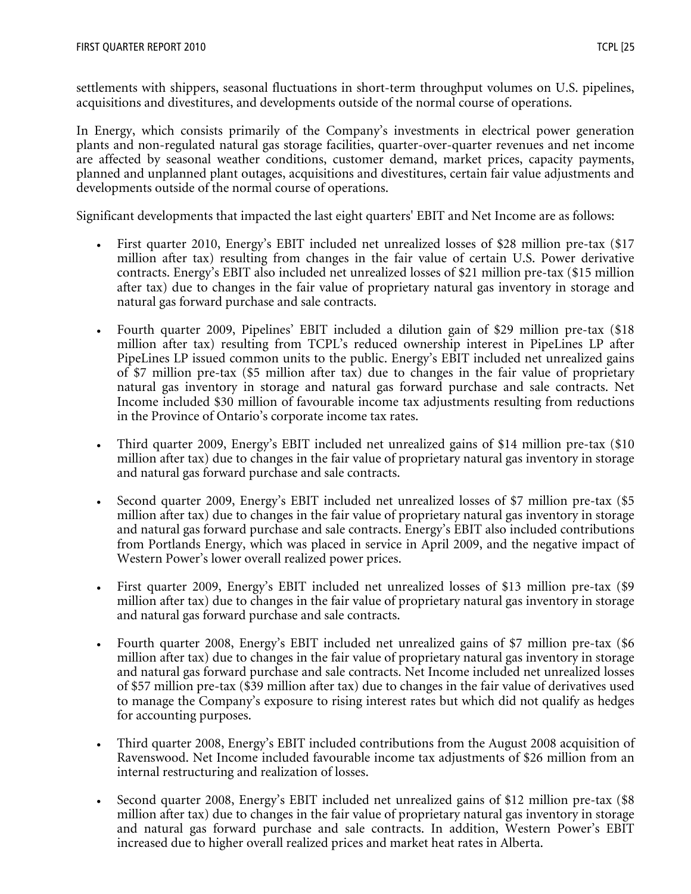settlements with shippers, seasonal fluctuations in short-term throughput volumes on U.S. pipelines, acquisitions and divestitures, and developments outside of the normal course of operations.

In Energy, which consists primarily of the Company's investments in electrical power generation plants and non-regulated natural gas storage facilities, quarter-over-quarter revenues and net income are affected by seasonal weather conditions, customer demand, market prices, capacity payments, planned and unplanned plant outages, acquisitions and divestitures, certain fair value adjustments and developments outside of the normal course of operations.

Significant developments that impacted the last eight quarters' EBIT and Net Income are as follows:

- First quarter 2010, Energy's EBIT included net unrealized losses of \$28 million pre-tax (\$17 million after tax) resulting from changes in the fair value of certain U.S. Power derivative contracts. Energy's EBIT also included net unrealized losses of \$21 million pre-tax (\$15 million after tax) due to changes in the fair value of proprietary natural gas inventory in storage and natural gas forward purchase and sale contracts.
- Fourth quarter 2009, Pipelines' EBIT included a dilution gain of \$29 million pre-tax (\$18 million after tax) resulting from TCPL's reduced ownership interest in PipeLines LP after PipeLines LP issued common units to the public. Energy's EBIT included net unrealized gains of \$7 million pre-tax (\$5 million after tax) due to changes in the fair value of proprietary natural gas inventory in storage and natural gas forward purchase and sale contracts. Net Income included \$30 million of favourable income tax adjustments resulting from reductions in the Province of Ontario's corporate income tax rates.
- Third quarter 2009, Energy's EBIT included net unrealized gains of \$14 million pre-tax (\$10 million after tax) due to changes in the fair value of proprietary natural gas inventory in storage and natural gas forward purchase and sale contracts.
- Second quarter 2009, Energy's EBIT included net unrealized losses of \$7 million pre-tax (\$5 million after tax) due to changes in the fair value of proprietary natural gas inventory in storage and natural gas forward purchase and sale contracts. Energy's EBIT also included contributions from Portlands Energy, which was placed in service in April 2009, and the negative impact of Western Power's lower overall realized power prices.
- First quarter 2009, Energy's EBIT included net unrealized losses of \$13 million pre-tax (\$9 million after tax) due to changes in the fair value of proprietary natural gas inventory in storage and natural gas forward purchase and sale contracts.
- Fourth quarter 2008, Energy's EBIT included net unrealized gains of \$7 million pre-tax (\$6 million after tax) due to changes in the fair value of proprietary natural gas inventory in storage and natural gas forward purchase and sale contracts. Net Income included net unrealized losses of \$57 million pre-tax (\$39 million after tax) due to changes in the fair value of derivatives used to manage the Company's exposure to rising interest rates but which did not qualify as hedges for accounting purposes.
- Third quarter 2008, Energy's EBIT included contributions from the August 2008 acquisition of Ravenswood. Net Income included favourable income tax adjustments of \$26 million from an internal restructuring and realization of losses.
- Second quarter 2008, Energy's EBIT included net unrealized gains of \$12 million pre-tax (\$8 million after tax) due to changes in the fair value of proprietary natural gas inventory in storage and natural gas forward purchase and sale contracts. In addition, Western Power's EBIT increased due to higher overall realized prices and market heat rates in Alberta.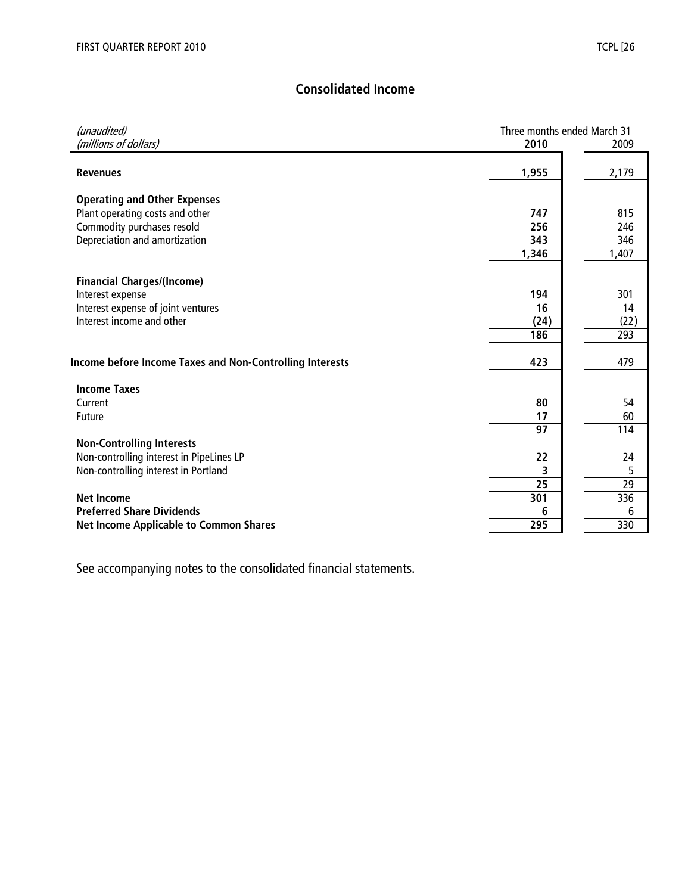# **Consolidated Income**

| (unaudited)                                                            | Three months ended March 31 |       |
|------------------------------------------------------------------------|-----------------------------|-------|
| (millions of dollars)                                                  | 2010                        | 2009  |
|                                                                        |                             |       |
| <b>Revenues</b>                                                        | 1,955                       | 2,179 |
|                                                                        |                             |       |
| <b>Operating and Other Expenses</b><br>Plant operating costs and other | 747                         | 815   |
| Commodity purchases resold                                             | 256                         | 246   |
| Depreciation and amortization                                          | 343                         | 346   |
|                                                                        | 1,346                       | 1,407 |
|                                                                        |                             |       |
| <b>Financial Charges/(Income)</b>                                      |                             |       |
| Interest expense                                                       | 194                         | 301   |
| Interest expense of joint ventures                                     | 16                          | 14    |
| Interest income and other                                              | (24)                        | (22)  |
|                                                                        | 186                         | 293   |
|                                                                        |                             |       |
| Income before Income Taxes and Non-Controlling Interests               | 423                         | 479   |
| <b>Income Taxes</b>                                                    |                             |       |
| Current                                                                | 80                          | 54    |
| <b>Future</b>                                                          | 17                          | 60    |
|                                                                        | 97                          | 114   |
| <b>Non-Controlling Interests</b>                                       |                             |       |
| Non-controlling interest in PipeLines LP                               | 22                          | 24    |
| Non-controlling interest in Portland                                   | 3                           | 5     |
|                                                                        | 25                          | 29    |
| <b>Net Income</b>                                                      | 301                         | 336   |
| <b>Preferred Share Dividends</b>                                       | 6                           | 6     |
| <b>Net Income Applicable to Common Shares</b>                          | 295                         | 330   |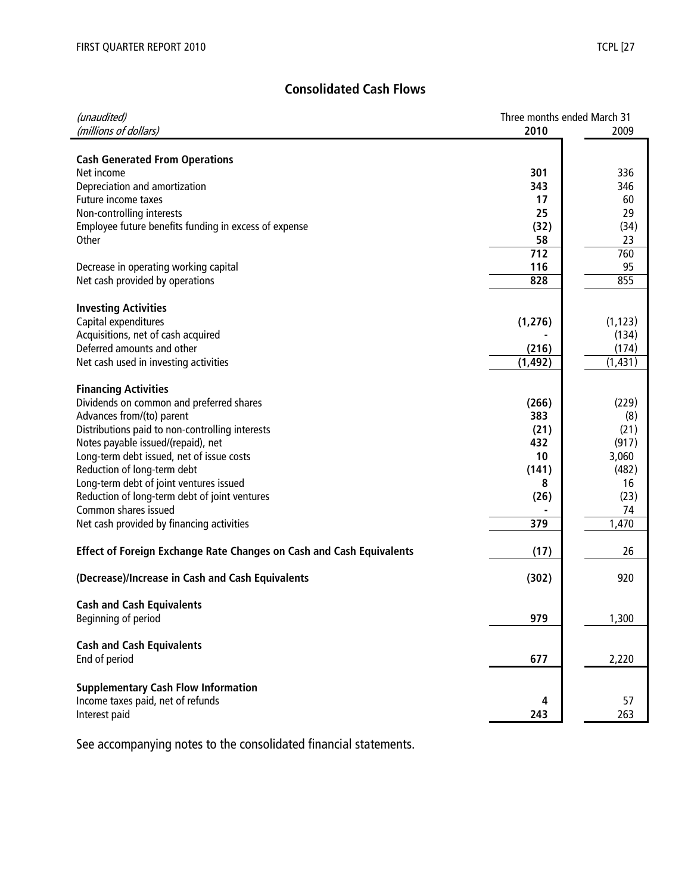# **Consolidated Cash Flows**

| (unaudited)                                                          | Three months ended March 31 |          |
|----------------------------------------------------------------------|-----------------------------|----------|
| (millions of dollars)                                                | 2010                        | 2009     |
|                                                                      |                             |          |
| <b>Cash Generated From Operations</b>                                |                             |          |
| Net income                                                           | 301                         | 336      |
| Depreciation and amortization                                        | 343                         | 346      |
| Future income taxes                                                  | 17                          | 60       |
| Non-controlling interests                                            | 25                          | 29       |
| Employee future benefits funding in excess of expense                | (32)                        | (34)     |
| Other                                                                | 58                          | 23       |
|                                                                      | 712                         | 760      |
| Decrease in operating working capital                                | 116                         | 95       |
| Net cash provided by operations                                      | 828                         | 855      |
| <b>Investing Activities</b>                                          |                             |          |
| Capital expenditures                                                 | (1, 276)                    | (1, 123) |
| Acquisitions, net of cash acquired                                   |                             | (134)    |
| Deferred amounts and other                                           | (216)                       | (174)    |
| Net cash used in investing activities                                | (1, 492)                    | (1, 431) |
|                                                                      |                             |          |
| <b>Financing Activities</b>                                          |                             |          |
| Dividends on common and preferred shares                             | (266)                       | (229)    |
| Advances from/(to) parent                                            | 383                         | (8)      |
| Distributions paid to non-controlling interests                      | (21)                        | (21)     |
| Notes payable issued/(repaid), net                                   | 432                         | (917)    |
| Long-term debt issued, net of issue costs                            | 10                          | 3,060    |
| Reduction of long-term debt                                          | (141)                       | (482)    |
| Long-term debt of joint ventures issued                              | 8                           | 16       |
| Reduction of long-term debt of joint ventures                        | (26)                        | (23)     |
| Common shares issued                                                 |                             | 74       |
| Net cash provided by financing activities                            | 379                         | 1,470    |
| Effect of Foreign Exchange Rate Changes on Cash and Cash Equivalents | (17)                        | 26       |
| (Decrease)/Increase in Cash and Cash Equivalents                     | (302)                       | 920      |
| <b>Cash and Cash Equivalents</b>                                     |                             |          |
|                                                                      | 979                         | 1,300    |
| Beginning of period                                                  |                             |          |
| <b>Cash and Cash Equivalents</b>                                     |                             |          |
| End of period                                                        | 677                         | 2,220    |
|                                                                      |                             |          |
| <b>Supplementary Cash Flow Information</b>                           |                             |          |
| Income taxes paid, net of refunds                                    | 4                           | 57       |
| Interest paid                                                        | 243                         | 263      |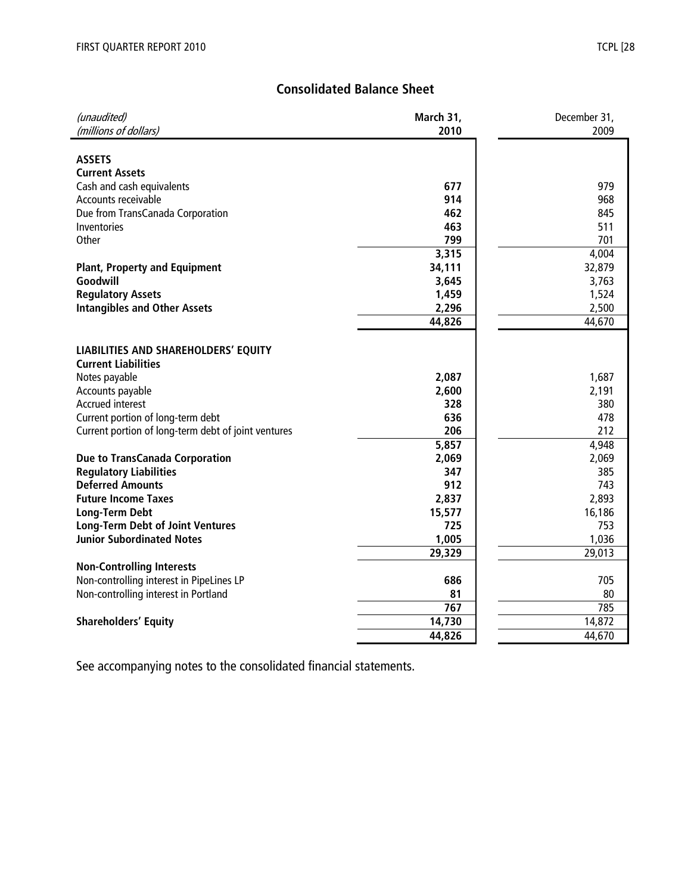# **Consolidated Balance Sheet**

| (unaudited)                                         | March 31, | December 31, |
|-----------------------------------------------------|-----------|--------------|
| (millions of dollars)                               | 2010      | 2009         |
|                                                     |           |              |
| <b>ASSETS</b>                                       |           |              |
| <b>Current Assets</b>                               |           |              |
| Cash and cash equivalents                           | 677       | 979          |
| Accounts receivable                                 | 914       | 968          |
| Due from TransCanada Corporation                    | 462       | 845          |
| Inventories                                         | 463       | 511          |
| Other                                               | 799       | 701          |
|                                                     | 3,315     | 4,004        |
| <b>Plant, Property and Equipment</b>                | 34,111    | 32,879       |
| Goodwill                                            | 3,645     | 3,763        |
| <b>Regulatory Assets</b>                            | 1,459     | 1,524        |
| <b>Intangibles and Other Assets</b>                 | 2,296     | 2,500        |
|                                                     | 44,826    | 44,670       |
|                                                     |           |              |
| LIABILITIES AND SHAREHOLDERS' EQUITY                |           |              |
| <b>Current Liabilities</b>                          |           |              |
| Notes payable                                       | 2,087     | 1,687        |
| Accounts payable                                    | 2,600     | 2,191        |
| <b>Accrued interest</b>                             | 328       | 380          |
| Current portion of long-term debt                   | 636       | 478          |
| Current portion of long-term debt of joint ventures | 206       | 212          |
|                                                     | 5,857     | 4,948        |
| <b>Due to TransCanada Corporation</b>               | 2,069     | 2,069        |
| <b>Regulatory Liabilities</b>                       | 347       | 385          |
| <b>Deferred Amounts</b>                             | 912       | 743          |
| <b>Future Income Taxes</b>                          | 2,837     | 2,893        |
| <b>Long-Term Debt</b>                               | 15,577    | 16,186       |
| <b>Long-Term Debt of Joint Ventures</b>             | 725       | 753          |
| <b>Junior Subordinated Notes</b>                    | 1,005     | 1,036        |
|                                                     | 29,329    | 29,013       |
| <b>Non-Controlling Interests</b>                    |           |              |
| Non-controlling interest in PipeLines LP            | 686       | 705          |
| Non-controlling interest in Portland                | 81        | 80           |
|                                                     | 767       | 785          |
| <b>Shareholders' Equity</b>                         | 14,730    | 14,872       |
|                                                     | 44,826    | 44,670       |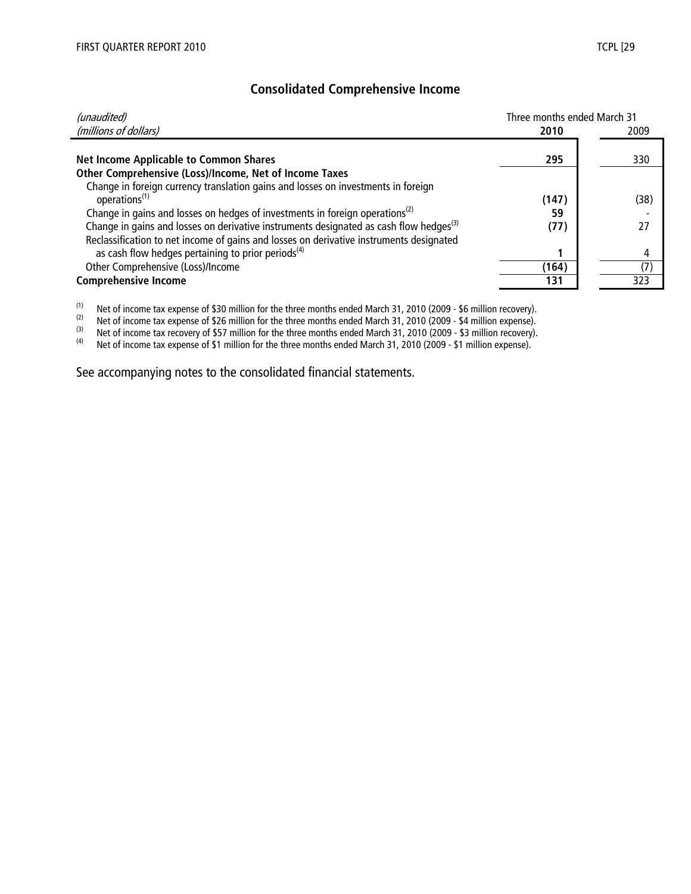# **Consolidated Comprehensive Income**

| (unaudited)                                                                                        | Three months ended March 31 |      |
|----------------------------------------------------------------------------------------------------|-----------------------------|------|
| (millions of dollars)                                                                              | 2010                        | 2009 |
|                                                                                                    |                             |      |
| <b>Net Income Applicable to Common Shares</b>                                                      | 295                         | 330  |
| Other Comprehensive (Loss)/Income, Net of Income Taxes                                             |                             |      |
| Change in foreign currency translation gains and losses on investments in foreign                  |                             |      |
| operations <sup>(1)</sup>                                                                          | (147)                       | (38) |
| Change in gains and losses on hedges of investments in foreign operations <sup>(2)</sup>           | 59                          |      |
| Change in gains and losses on derivative instruments designated as cash flow hedges <sup>(3)</sup> | (77)                        | 27   |
| Reclassification to net income of gains and losses on derivative instruments designated            |                             |      |
| as cash flow hedges pertaining to prior periods <sup>(4)</sup>                                     |                             | 4    |
| Other Comprehensive (Loss)/Income                                                                  | (164)                       | (7)  |
| <b>Comprehensive Income</b>                                                                        | 131                         | 323  |

(1) Net of income tax expense of \$30 million for the three months ended March 31, 2010 (2009 - \$6 million recovery).<br>(2) Net of income tax expense of \$26 million for the three months ended March 31, 2010 (2009 - \$4 millio

(2) Net of income tax expense of \$26 million for the three months ended March 31, 2010 (2009 - \$4 million expense).<br>(3) Net of income tax recovery of \$57 million for the three months ended March 31, 2010 (2009 - \$3 millio

(3) Net of income tax recovery of \$57 million for the three months ended March 31, 2010 (2009 - \$3 million recovery).<br>(4) Net of income tax expense of \$1 million for the three months ended March 31, 2010 (2009 - \$1 millio

Net of income tax expense of \$1 million for the three months ended March 31, 2010 (2009 - \$1 million expense).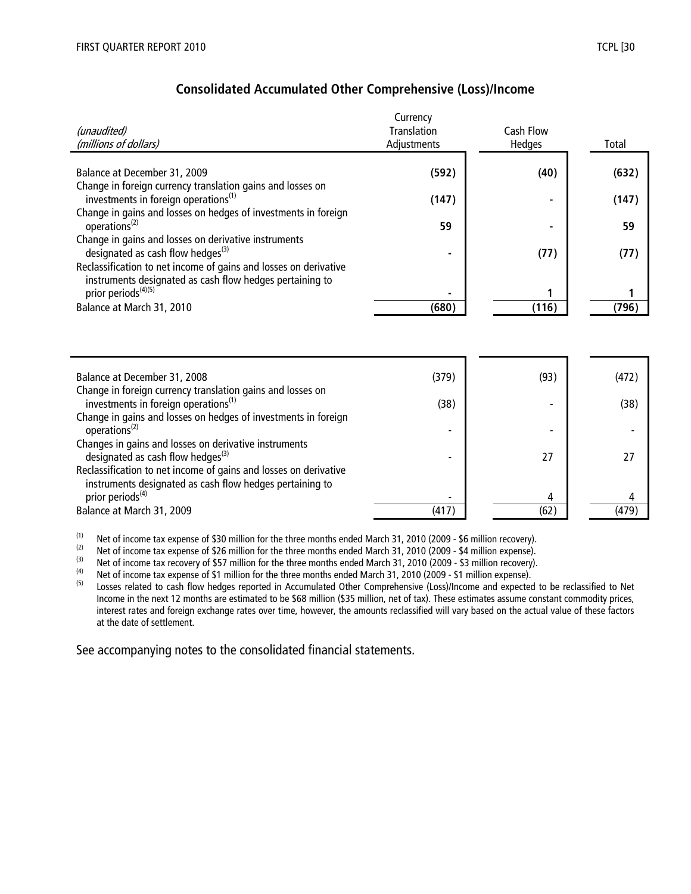|                                                                                                        | Currency           |                  |       |
|--------------------------------------------------------------------------------------------------------|--------------------|------------------|-------|
| (unaudited)                                                                                            | <b>Translation</b> | <b>Cash Flow</b> |       |
| (millions of dollars)                                                                                  | Adjustments        | Hedges           | Total |
|                                                                                                        |                    |                  |       |
| Balance at December 31, 2009                                                                           | (592)              | (40)             | (632) |
| Change in foreign currency translation gains and losses on                                             |                    |                  |       |
| investments in foreign operations <sup>(1)</sup>                                                       | (147)              |                  | (147) |
| Change in gains and losses on hedges of investments in foreign                                         |                    |                  |       |
| operations <sup>(2)</sup>                                                                              | 59                 |                  | 59    |
| Change in gains and losses on derivative instruments                                                   |                    |                  |       |
| designated as cash flow hedges <sup>(3)</sup>                                                          |                    | (77)             | (77)  |
| Reclassification to net income of gains and losses on derivative                                       |                    |                  |       |
| instruments designated as cash flow hedges pertaining to<br>prior periods <sup>(4)(5)</sup>            |                    |                  |       |
| Balance at March 31, 2010                                                                              | (680)              | (116)            | (796) |
|                                                                                                        |                    |                  |       |
|                                                                                                        |                    |                  |       |
|                                                                                                        |                    |                  |       |
|                                                                                                        |                    |                  |       |
| Balance at December 31, 2008                                                                           | (379)              | (93)             | (472) |
| Change in foreign currency translation gains and losses on                                             |                    |                  |       |
| investments in foreign operations <sup>(1)</sup>                                                       | (38)               |                  | (38)  |
| Change in gains and losses on hedges of investments in foreign<br>operations <sup>(2)</sup>            |                    |                  |       |
|                                                                                                        |                    |                  |       |
| Changes in gains and losses on derivative instruments<br>designated as cash flow hedges <sup>(3)</sup> |                    | 27               | 27    |
| Reclassification to net income of gains and losses on derivative                                       |                    |                  |       |
| instruments designated as cash flow hedges pertaining to                                               |                    |                  |       |
| prior periods <sup>(4)</sup>                                                                           |                    | 4                | 4     |
| Balance at March 31, 2009                                                                              | (417)              | (62)             | (479) |

(1) Net of income tax expense of \$30 million for the three months ended March 31, 2010 (2009 - \$6 million recovery).<br>(2) Net of income tax expense of \$26 million for the three months ended March 31, 2010 (2009 - \$4 millio

(2) Net of income tax expense of \$26 million for the three months ended March 31, 2010 (2009 - \$4 million expense).<br>(3) Net of income tax recovery of \$57 million for the three months ended March 31, 2010 (2009 - \$3 millio

(3) Net of income tax recovery of \$57 million for the three months ended March 31, 2010 (2009 - \$3 million recovery).<br>(4) Net of income tax expense of \$1 million for the three months ended March 31, 2010 (2009 - \$1 millio

(4) Net of income tax expense of \$1 million for the three months ended March 31, 2010 (2009 - \$1 million expense).<br>(5) Losses related to cash flow hedges reported in Accumulated Other Comprehensive (Loss)/Income and expec

Losses related to cash flow hedges reported in Accumulated Other Comprehensive (Loss)/Income and expected to be reclassified to Net Income in the next 12 months are estimated to be \$68 million (\$35 million, net of tax). These estimates assume constant commodity prices, interest rates and foreign exchange rates over time, however, the amounts reclassified will vary based on the actual value of these factors at the date of settlement.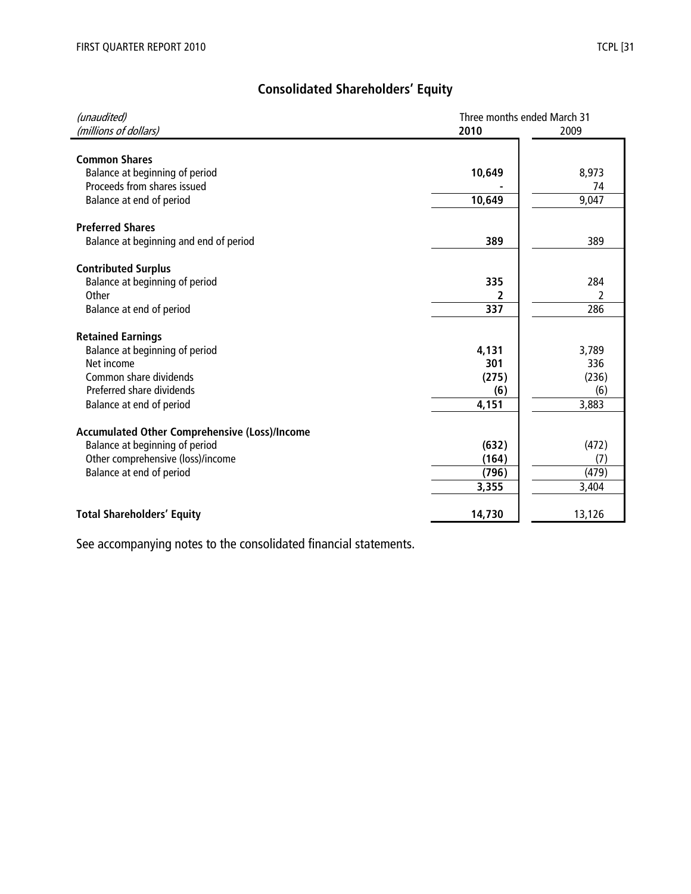| (unaudited)<br>(millions of dollars)          | Three months ended March 31<br>2010 | 2009          |
|-----------------------------------------------|-------------------------------------|---------------|
| <b>Common Shares</b>                          |                                     |               |
| Balance at beginning of period                | 10,649                              | 8,973         |
| Proceeds from shares issued                   |                                     | 74            |
| Balance at end of period                      | 10,649                              | 9,047         |
|                                               |                                     |               |
| <b>Preferred Shares</b>                       |                                     |               |
| Balance at beginning and end of period        | 389                                 | 389           |
|                                               |                                     |               |
| <b>Contributed Surplus</b>                    |                                     |               |
| Balance at beginning of period                | 335                                 | 284           |
| Other                                         | 2                                   | $\mathfrak z$ |
| Balance at end of period                      | 337                                 | 286           |
|                                               |                                     |               |
| <b>Retained Earnings</b>                      |                                     |               |
| Balance at beginning of period                | 4,131                               | 3,789         |
| Net income<br>Common share dividends          | 301<br>(275)                        | 336<br>(236)  |
| Preferred share dividends                     | (6)                                 | (6)           |
| Balance at end of period                      | 4,151                               | 3,883         |
|                                               |                                     |               |
| Accumulated Other Comprehensive (Loss)/Income |                                     |               |
| Balance at beginning of period                | (632)                               | (472)         |
| Other comprehensive (loss)/income             | (164)                               | (7)           |
| Balance at end of period                      | (796)                               | (479)         |
|                                               | 3,355                               | 3,404         |
| <b>Total Shareholders' Equity</b>             | 14,730                              | 13,126        |
|                                               |                                     |               |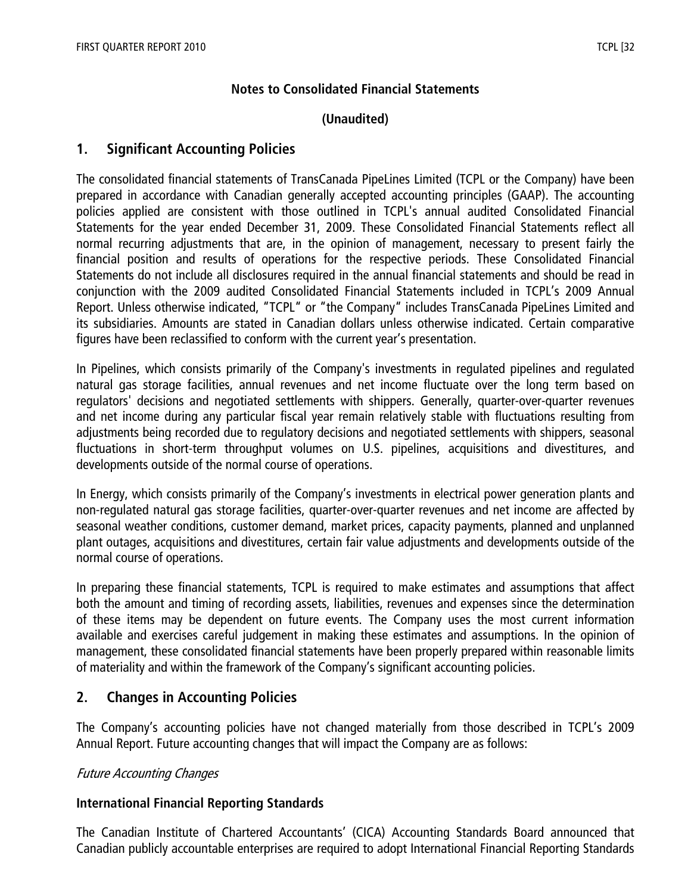# **Notes to Consolidated Financial Statements**

# **(Unaudited)**

# **1. Significant Accounting Policies**

The consolidated financial statements of TransCanada PipeLines Limited (TCPL or the Company) have been prepared in accordance with Canadian generally accepted accounting principles (GAAP). The accounting policies applied are consistent with those outlined in TCPL's annual audited Consolidated Financial Statements for the year ended December 31, 2009. These Consolidated Financial Statements reflect all normal recurring adjustments that are, in the opinion of management, necessary to present fairly the financial position and results of operations for the respective periods. These Consolidated Financial Statements do not include all disclosures required in the annual financial statements and should be read in conjunction with the 2009 audited Consolidated Financial Statements included in TCPL's 2009 Annual Report. Unless otherwise indicated, "TCPL" or "the Company" includes TransCanada PipeLines Limited and its subsidiaries. Amounts are stated in Canadian dollars unless otherwise indicated. Certain comparative figures have been reclassified to conform with the current year's presentation.

In Pipelines, which consists primarily of the Company's investments in regulated pipelines and regulated natural gas storage facilities, annual revenues and net income fluctuate over the long term based on regulators' decisions and negotiated settlements with shippers. Generally, quarter-over-quarter revenues and net income during any particular fiscal year remain relatively stable with fluctuations resulting from adjustments being recorded due to regulatory decisions and negotiated settlements with shippers, seasonal fluctuations in short-term throughput volumes on U.S. pipelines, acquisitions and divestitures, and developments outside of the normal course of operations.

In Energy, which consists primarily of the Company's investments in electrical power generation plants and non-regulated natural gas storage facilities, quarter-over-quarter revenues and net income are affected by seasonal weather conditions, customer demand, market prices, capacity payments, planned and unplanned plant outages, acquisitions and divestitures, certain fair value adjustments and developments outside of the normal course of operations.

In preparing these financial statements, TCPL is required to make estimates and assumptions that affect both the amount and timing of recording assets, liabilities, revenues and expenses since the determination of these items may be dependent on future events. The Company uses the most current information available and exercises careful judgement in making these estimates and assumptions. In the opinion of management, these consolidated financial statements have been properly prepared within reasonable limits of materiality and within the framework of the Company's significant accounting policies.

# **2. Changes in Accounting Policies**

The Company's accounting policies have not changed materially from those described in TCPL's 2009 Annual Report. Future accounting changes that will impact the Company are as follows:

# Future Accounting Changes

# **International Financial Reporting Standards**

The Canadian Institute of Chartered Accountants' (CICA) Accounting Standards Board announced that Canadian publicly accountable enterprises are required to adopt International Financial Reporting Standards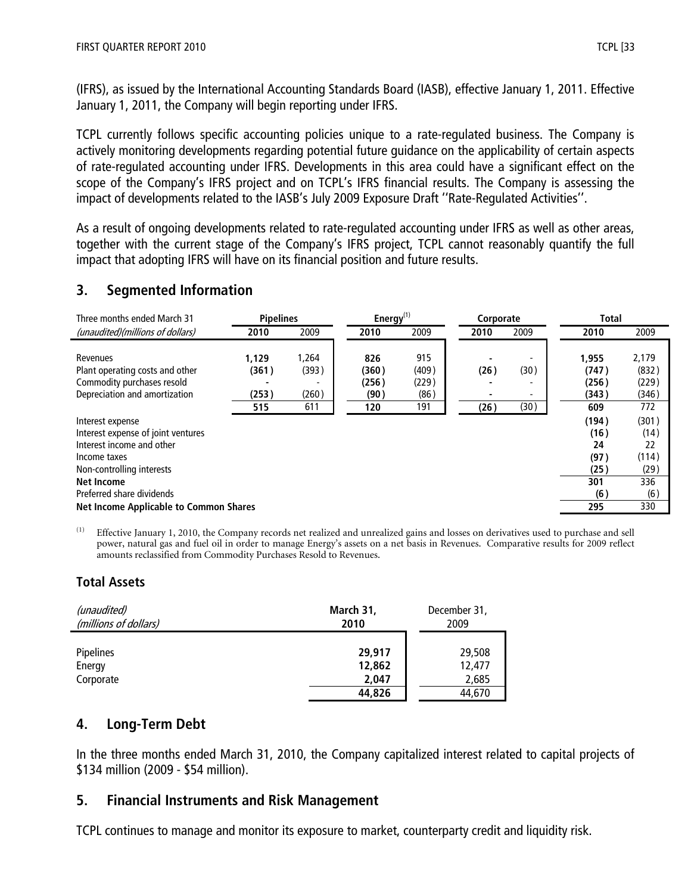(IFRS), as issued by the International Accounting Standards Board (IASB), effective January 1, 2011. Effective January 1, 2011, the Company will begin reporting under IFRS.

TCPL currently follows specific accounting policies unique to a rate-regulated business. The Company is actively monitoring developments regarding potential future guidance on the applicability of certain aspects of rate-regulated accounting under IFRS. Developments in this area could have a significant effect on the scope of the Company's IFRS project and on TCPL's IFRS financial results. The Company is assessing the impact of developments related to the IASB's July 2009 Exposure Draft ''Rate-Regulated Activities''.

As a result of ongoing developments related to rate-regulated accounting under IFRS as well as other areas, together with the current stage of the Company's IFRS project, TCPL cannot reasonably quantify the full impact that adopting IFRS will have on its financial position and future results.

# **3. Segmented Information**

| Three months ended March 31                                                                                                                                                                                                         | <b>Pipelines</b>               |                                | Energy $(1)$                         |                                      | Corporate    |              | <b>Total</b>                                             |                                                           |
|-------------------------------------------------------------------------------------------------------------------------------------------------------------------------------------------------------------------------------------|--------------------------------|--------------------------------|--------------------------------------|--------------------------------------|--------------|--------------|----------------------------------------------------------|-----------------------------------------------------------|
| (unaudited)(millions of dollars)                                                                                                                                                                                                    | 2010                           | 2009                           | 2010                                 | 2009                                 | 2010         | 2009         | 2010                                                     | 2009                                                      |
| Revenues<br>Plant operating costs and other<br>Commodity purchases resold<br>Depreciation and amortization                                                                                                                          | 1.129<br>(361)<br>(253)<br>515 | 1,264<br>(393)<br>(260)<br>611 | 826<br>(360)<br>(256)<br>(90)<br>120 | 915<br>(409)<br>(229)<br>(86)<br>191 | (26)<br>(26) | (30)<br>(30) | 1,955<br>(747)<br>(256)<br>(343)<br>609                  | 2,179<br>(832)<br>(229)<br>(346)<br>772                   |
| Interest expense<br>Interest expense of joint ventures<br>Interest income and other<br>Income taxes<br>Non-controlling interests<br><b>Net Income</b><br>Preferred share dividends<br><b>Net Income Applicable to Common Shares</b> |                                |                                |                                      |                                      |              |              | (194)<br>(16)<br>24<br>(97)<br>(25)<br>301<br>(6)<br>295 | (301)<br>(14)<br>22<br>(114)<br>(29)<br>336<br>(6)<br>330 |

<sup>(1)</sup> Effective January 1, 2010, the Company records net realized and unrealized gains and losses on derivatives used to purchase and sell power, natural gas and fuel oil in order to manage Energy's assets on a net basis in Revenues. Comparative results for 2009 reflect amounts reclassified from Commodity Purchases Resold to Revenues.

# **Total Assets**

| (unaudited)                             | March 31,                           | December 31,                        |
|-----------------------------------------|-------------------------------------|-------------------------------------|
| (millions of dollars)                   | 2010                                | 2009                                |
| <b>Pipelines</b><br>Energy<br>Corporate | 29,917<br>12,862<br>2.047<br>44,826 | 29,508<br>12,477<br>2,685<br>44,670 |

# **4. Long-Term Debt**

In the three months ended March 31, 2010, the Company capitalized interest related to capital projects of \$134 million (2009 - \$54 million).

# **5. Financial Instruments and Risk Management**

TCPL continues to manage and monitor its exposure to market, counterparty credit and liquidity risk.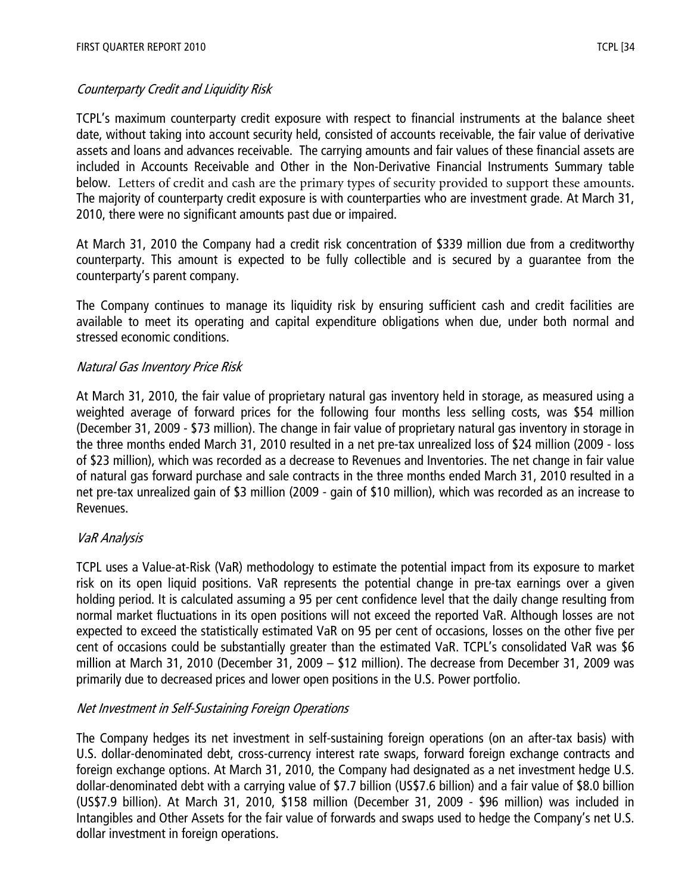# Counterparty Credit and Liquidity Risk

TCPL's maximum counterparty credit exposure with respect to financial instruments at the balance sheet date, without taking into account security held, consisted of accounts receivable, the fair value of derivative assets and loans and advances receivable. The carrying amounts and fair values of these financial assets are included in Accounts Receivable and Other in the Non-Derivative Financial Instruments Summary table below. Letters of credit and cash are the primary types of security provided to support these amounts. The majority of counterparty credit exposure is with counterparties who are investment grade. At March 31, 2010, there were no significant amounts past due or impaired.

At March 31, 2010 the Company had a credit risk concentration of \$339 million due from a creditworthy counterparty. This amount is expected to be fully collectible and is secured by a guarantee from the counterparty's parent company.

The Company continues to manage its liquidity risk by ensuring sufficient cash and credit facilities are available to meet its operating and capital expenditure obligations when due, under both normal and stressed economic conditions.

# Natural Gas Inventory Price Risk

At March 31, 2010, the fair value of proprietary natural gas inventory held in storage, as measured using a weighted average of forward prices for the following four months less selling costs, was \$54 million (December 31, 2009 - \$73 million). The change in fair value of proprietary natural gas inventory in storage in the three months ended March 31, 2010 resulted in a net pre-tax unrealized loss of \$24 million (2009 - loss of \$23 million), which was recorded as a decrease to Revenues and Inventories. The net change in fair value of natural gas forward purchase and sale contracts in the three months ended March 31, 2010 resulted in a net pre-tax unrealized gain of \$3 million (2009 - gain of \$10 million), which was recorded as an increase to Revenues.

# VaR Analysis

TCPL uses a Value-at-Risk (VaR) methodology to estimate the potential impact from its exposure to market risk on its open liquid positions. VaR represents the potential change in pre-tax earnings over a given holding period. It is calculated assuming a 95 per cent confidence level that the daily change resulting from normal market fluctuations in its open positions will not exceed the reported VaR. Although losses are not expected to exceed the statistically estimated VaR on 95 per cent of occasions, losses on the other five per cent of occasions could be substantially greater than the estimated VaR. TCPL's consolidated VaR was \$6 million at March 31, 2010 (December 31, 2009 – \$12 million). The decrease from December 31, 2009 was primarily due to decreased prices and lower open positions in the U.S. Power portfolio.

# Net Investment in Self-Sustaining Foreign Operations

The Company hedges its net investment in self-sustaining foreign operations (on an after-tax basis) with U.S. dollar-denominated debt, cross-currency interest rate swaps, forward foreign exchange contracts and foreign exchange options. At March 31, 2010, the Company had designated as a net investment hedge U.S. dollar-denominated debt with a carrying value of \$7.7 billion (US\$7.6 billion) and a fair value of \$8.0 billion (US\$7.9 billion). At March 31, 2010, \$158 million (December 31, 2009 - \$96 million) was included in Intangibles and Other Assets for the fair value of forwards and swaps used to hedge the Company's net U.S. dollar investment in foreign operations.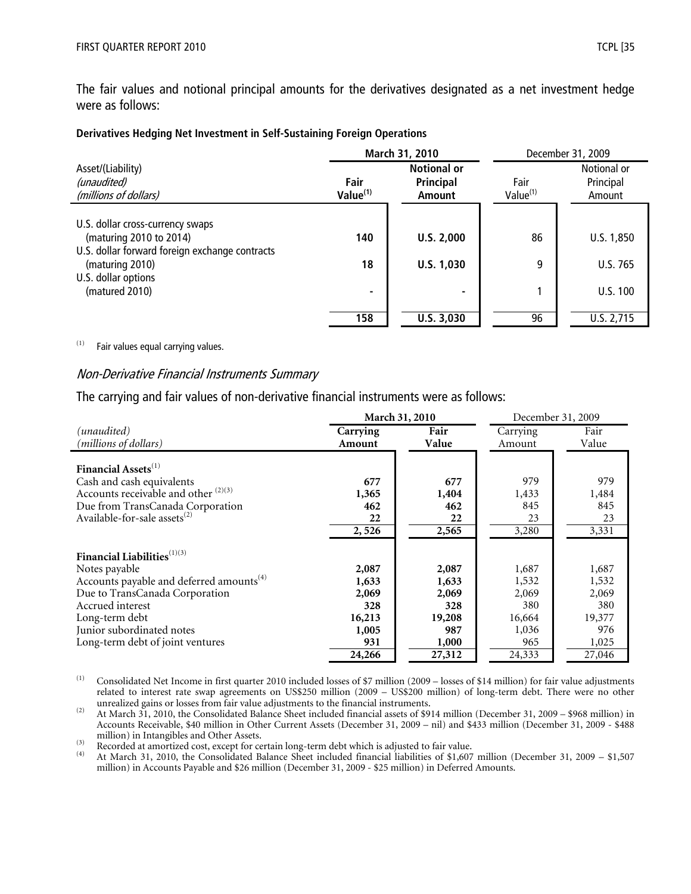The fair values and notional principal amounts for the derivatives designated as a net investment hedge were as follows:

#### **Derivatives Hedging Net Investment in Self-Sustaining Foreign Operations**

|                                                                           | March 31, 2010               |                                           | December 31, 2009            |                                    |
|---------------------------------------------------------------------------|------------------------------|-------------------------------------------|------------------------------|------------------------------------|
| Asset/(Liability)<br>(unaudited)<br>(millions of dollars)                 | Fair<br>Value <sup>(1)</sup> | <b>Notional or</b><br>Principal<br>Amount | Fair<br>Value <sup>(1)</sup> | Notional or<br>Principal<br>Amount |
| U.S. dollar cross-currency swaps                                          |                              |                                           |                              |                                    |
| (maturing 2010 to 2014)<br>U.S. dollar forward foreign exchange contracts | 140                          | U.S. 2,000                                | 86                           | U.S. 1,850                         |
| (maturing 2010)                                                           | 18                           | U.S. 1,030                                | 9                            | U.S. 765                           |
| U.S. dollar options<br>(matured 2010)                                     |                              | $\overline{\phantom{a}}$                  |                              | U.S. 100                           |
|                                                                           | 158                          | U.S. 3,030                                | 96                           | U.S. 2,715                         |

 $(1)$  Fair values equal carrying values.

#### Non-Derivative Financial Instruments Summary

The carrying and fair values of non-derivative financial instruments were as follows:

|                                                      |          | March 31, 2010 | December 31, 2009 |        |
|------------------------------------------------------|----------|----------------|-------------------|--------|
| (unaudited)                                          | Carrying | Fair           | Carrying          | Fair   |
| (millions of dollars)                                | Amount   | Value          | Amount            | Value  |
|                                                      |          |                |                   |        |
| Financial Assets <sup>(1)</sup>                      |          |                |                   |        |
| Cash and cash equivalents                            | 677      | 677            | 979               | 979    |
| Accounts receivable and other <sup>(2)(3)</sup>      | 1,365    | 1,404          | 1,433             | 1,484  |
| Due from TransCanada Corporation                     | 462      | 462            | 845               | 845    |
| Available-for-sale assets <sup>(2)</sup>             | 22       | 22             | 23                | 23     |
|                                                      | 2,526    | 2,565          | 3,280             | 3,331  |
|                                                      |          |                |                   |        |
| Financial Liabilities <sup>(1)(3)</sup>              |          |                |                   |        |
| Notes payable                                        | 2,087    | 2,087          | 1,687             | 1,687  |
| Accounts payable and deferred amounts <sup>(4)</sup> | 1,633    | 1,633          | 1,532             | 1,532  |
| Due to TransCanada Corporation                       | 2,069    | 2,069          | 2,069             | 2,069  |
| Accrued interest                                     | 328      | 328            | 380               | 380    |
| Long-term debt                                       | 16,213   | 19,208         | 16,664            | 19,377 |
| Junior subordinated notes                            | 1,005    | 987            | 1,036             | 976    |
| Long-term debt of joint ventures                     | 931      | 1,000          | 965               | 1,025  |
|                                                      | 24,266   | 27,312         | 24,333            | 27,046 |

(1) Consolidated Net Income in first quarter 2010 included losses of \$7 million (2009 – losses of \$14 million) for fair value adjustments related to interest rate swap agreements on US\$250 million (2009 – US\$200 million) of long-term debt. There were no other unrealized gains or losses from fair value adjustments to the financial instruments.

<sup>(2)</sup> At March 31, 2010, the Consolidated Balance Sheet included financial assets of \$914 million (December 31, 2009 – \$968 million) in Accounts Receivable, \$40 million in Other Current Assets (December 31, 2009 – nil) and \$433 million (December 31, 2009 - \$488

million) in Intangibles and Other Assets.<br><sup>(3)</sup> Recorded at amortized cost, except for certain long-term debt which is adjusted to fair value.<br><sup>(4)</sup> At March 31, 2010, the Consolidated Balance Sheet included financial liab million) in Accounts Payable and \$26 million (December 31, 2009 - \$25 million) in Deferred Amounts.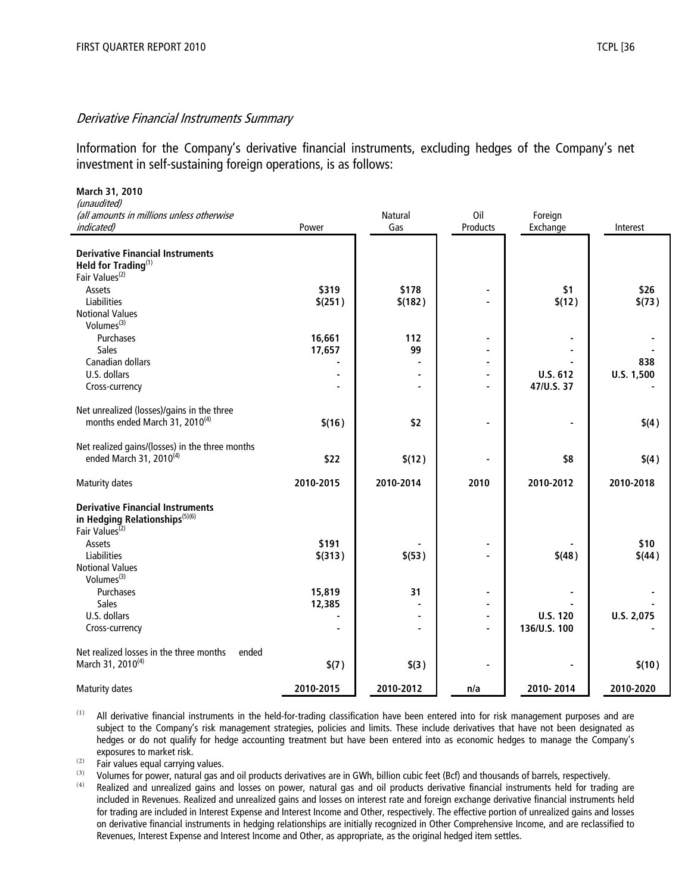#### Derivative Financial Instruments Summary

Information for the Company's derivative financial instruments, excluding hedges of the Company's net investment in self-sustaining foreign operations, is as follows:

| March 31, 2010                                          |           |                |                 |                     |            |
|---------------------------------------------------------|-----------|----------------|-----------------|---------------------|------------|
| (unaudited)                                             |           |                |                 |                     |            |
| (all amounts in millions unless otherwise<br>indicated) | Power     | Natural<br>Gas | Oil<br>Products | Foreign<br>Exchange | Interest   |
|                                                         |           |                |                 |                     |            |
| <b>Derivative Financial Instruments</b>                 |           |                |                 |                     |            |
| Held for Trading <sup>(1)</sup>                         |           |                |                 |                     |            |
| Fair Values <sup>(2)</sup>                              |           |                |                 |                     |            |
| Assets                                                  | \$319     | \$178          |                 | \$1                 | \$26       |
| <b>Liabilities</b>                                      | \$(251)   | \$(182)        |                 | \$(12)              | \$(73)     |
| <b>Notional Values</b>                                  |           |                |                 |                     |            |
| Volumes <sup>(3)</sup>                                  |           |                |                 |                     |            |
| Purchases                                               | 16,661    | 112            |                 |                     |            |
| <b>Sales</b>                                            | 17,657    | 99             |                 |                     |            |
| Canadian dollars                                        |           |                |                 |                     | 838        |
| U.S. dollars                                            |           |                | $\blacksquare$  | <b>U.S. 612</b>     | U.S. 1,500 |
| Cross-currency                                          |           |                |                 | 47/U.S. 37          |            |
|                                                         |           |                |                 |                     |            |
| Net unrealized (losses)/gains in the three              |           |                |                 |                     |            |
| months ended March 31, 2010 <sup>(4)</sup>              | \$(16)    | \$2            |                 | $\blacksquare$      | \$(4)      |
|                                                         |           |                |                 |                     |            |
| Net realized gains/(losses) in the three months         |           |                |                 |                     |            |
| ended March 31, 2010 <sup>(4)</sup>                     | \$22      | \$(12)         |                 | \$8                 | \$(4)      |
|                                                         |           |                |                 |                     |            |
| Maturity dates                                          | 2010-2015 | 2010-2014      | 2010            | 2010-2012           | 2010-2018  |
|                                                         |           |                |                 |                     |            |
| <b>Derivative Financial Instruments</b>                 |           |                |                 |                     |            |
| in Hedging Relationships(5)(6)                          |           |                |                 |                     |            |
| Fair Values <sup>(2)</sup>                              |           |                |                 |                     |            |
| Assets                                                  | \$191     |                |                 |                     | \$10       |
| Liabilities                                             | $$$ (313) | \$(53)         |                 | \$(48)              | \$(44)     |
| <b>Notional Values</b><br>Volumes $(3)$                 |           |                |                 |                     |            |
|                                                         |           |                |                 |                     |            |
| Purchases<br><b>Sales</b>                               | 15,819    | 31             | $\blacksquare$  |                     |            |
| U.S. dollars                                            | 12,385    |                |                 | <b>U.S. 120</b>     |            |
| Cross-currency                                          |           |                |                 | 136/U.S. 100        | U.S. 2,075 |
|                                                         |           |                |                 |                     |            |
| Net realized losses in the three months<br>ended        |           |                |                 |                     |            |
| March 31, 2010 <sup>(4)</sup>                           | \$(7)     | \$(3)          |                 |                     | \$(10)     |
|                                                         |           |                |                 |                     |            |
| Maturity dates                                          | 2010-2015 | 2010-2012      | n/a             | 2010-2014           | 2010-2020  |

 $(1)$  All derivative financial instruments in the held-for-trading classification have been entered into for risk management purposes and are subject to the Company's risk management strategies, policies and limits. These include derivatives that have not been designated as hedges or do not qualify for hedge accounting treatment but have been entered into as economic hedges to manage the Company's exposures to market risk.

 $\overrightarrow{P}$  Fair values equal carrying values.

(3) Volumes for power, natural gas and oil products derivatives are in GWh, billion cubic feet (Bcf) and thousands of barrels, respectively.<br>(4) Bealized and unrealized gains and losses on power, natural gas and oil produ

Realized and unrealized gains and losses on power, natural gas and oil products derivative financial instruments held for trading are included in Revenues. Realized and unrealized gains and losses on interest rate and foreign exchange derivative financial instruments held for trading are included in Interest Expense and Interest Income and Other, respectively. The effective portion of unrealized gains and losses on derivative financial instruments in hedging relationships are initially recognized in Other Comprehensive Income, and are reclassified to Revenues, Interest Expense and Interest Income and Other, as appropriate, as the original hedged item settles.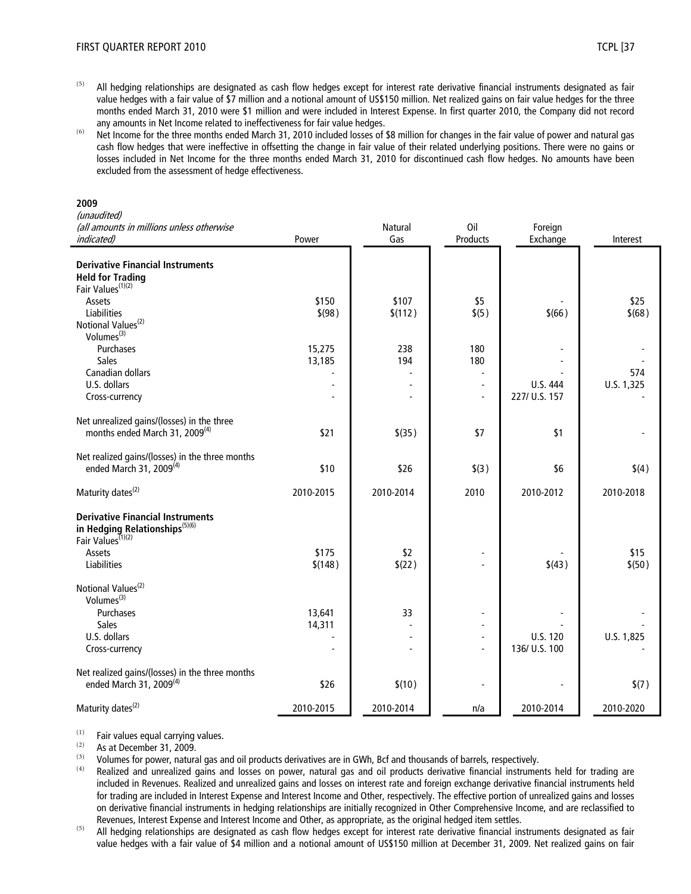- $(5)$  All hedging relationships are designated as cash flow hedges except for interest rate derivative financial instruments designated as fair value hedges with a fair value of \$7 million and a notional amount of US\$150 million. Net realized gains on fair value hedges for the three months ended March 31, 2010 were \$1 million and were included in Interest Expense. In first quarter 2010, the Company did not record any amounts in Net Income related to ineffectiveness for fair value hedges.
- (6) Net Income for the three months ended March 31, 2010 included losses of \$8 million for changes in the fair value of power and natural gas cash flow hedges that were ineffective in offsetting the change in fair value of their related underlying positions. There were no gains or losses included in Net Income for the three months ended March 31, 2010 for discontinued cash flow hedges. No amounts have been excluded from the assessment of hedge effectiveness.

#### **2009**

(unaudited)

| (all amounts in millions unless otherwise<br><i>indicated)</i>              | Power     | Natural<br>Gas | Oil<br>Products          | Foreign<br>Exchange | Interest   |
|-----------------------------------------------------------------------------|-----------|----------------|--------------------------|---------------------|------------|
|                                                                             |           |                |                          |                     |            |
| <b>Derivative Financial Instruments</b>                                     |           |                |                          |                     |            |
| <b>Held for Trading</b>                                                     |           |                |                          |                     |            |
| Fair Values <sup>(1)(2)</sup>                                               |           |                |                          |                     |            |
| Assets                                                                      | \$150     | \$107          | \$5                      |                     | \$25       |
| <b>Liabilities</b>                                                          | \$ (98)   | \$(112)        | \$(5)                    | \$(66)              | \$(68)     |
| Notional Values <sup>(2)</sup>                                              |           |                |                          |                     |            |
| Volumes <sup>(3)</sup>                                                      |           |                |                          |                     |            |
| Purchases                                                                   | 15,275    | 238            | 180                      |                     |            |
| Sales                                                                       | 13,185    | 194            | 180                      |                     |            |
| Canadian dollars                                                            |           |                | $\frac{1}{2}$            |                     | 574        |
| U.S. dollars                                                                |           |                | $\overline{\phantom{a}}$ | U.S. 444            | U.S. 1,325 |
| Cross-currency                                                              |           |                | $\overline{\phantom{a}}$ | 227/ U.S. 157       |            |
| Net unrealized gains/(losses) in the three                                  |           |                |                          |                     |            |
| months ended March 31, 2009 <sup>(4)</sup>                                  | \$21      | $$$ (35)       | \$7                      | \$1                 |            |
| Net realized gains/(losses) in the three months                             |           |                |                          |                     |            |
| ended March 31, 2009 <sup>(4)</sup>                                         | \$10      | \$26           | \$(3)                    | \$6                 | \$(4)      |
| Maturity dates <sup>(2)</sup>                                               | 2010-2015 | 2010-2014      | 2010                     | 2010-2012           | 2010-2018  |
|                                                                             |           |                |                          |                     |            |
| <b>Derivative Financial Instruments</b>                                     |           |                |                          |                     |            |
| in Hedging Relationships <sup>(5)(6)</sup><br>Fair Values <sup>(1)(2)</sup> |           |                |                          |                     |            |
|                                                                             |           |                |                          |                     |            |
| Assets                                                                      | \$175     | \$2            |                          |                     | \$15       |
| Liabilities                                                                 | \$(148)   | \$(22)         |                          | \$(43)              | \$(50)     |
| Notional Values <sup>(2)</sup>                                              |           |                |                          |                     |            |
| Volumes $^{(3)}$                                                            |           |                |                          |                     |            |
| Purchases                                                                   | 13,641    | 33             | $\overline{a}$           |                     |            |
| Sales                                                                       | 14,311    |                |                          |                     |            |
| U.S. dollars                                                                |           |                | $\blacksquare$           | U.S. 120            | U.S. 1,825 |
| Cross-currency                                                              |           |                | $\overline{\phantom{a}}$ | 136/ U.S. 100       |            |
| Net realized gains/(losses) in the three months                             |           |                |                          |                     |            |
| ended March 31, 2009 <sup>(4)</sup>                                         | \$26      | \$(10)         |                          |                     | \$(7)      |
| Maturity dates <sup>(2)</sup>                                               | 2010-2015 | 2010-2014      | n/a                      | 2010-2014           | 2010-2020  |

 $(1)$  Fair values equal carrying values.<br> $(2)$  As at Desember 21, 2000.

 $\frac{(2)}{(3)}$  As at December 31, 2009.

(3) Volumes for power, natural gas and oil products derivatives are in GWh, Bcf and thousands of barrels, respectively.<br>(4) Beelized and unrealized gains and lasses an power, natural gas and ail products derivative financ

- Realized and unrealized gains and losses on power, natural gas and oil products derivative financial instruments held for trading are included in Revenues. Realized and unrealized gains and losses on interest rate and foreign exchange derivative financial instruments held for trading are included in Interest Expense and Interest Income and Other, respectively. The effective portion of unrealized gains and losses on derivative financial instruments in hedging relationships are initially recognized in Other Comprehensive Income, and are reclassified to Revenues, Interest Expense and Interest Income and Other, as appropriate, as the original hedged item settles.
- <sup>(5)</sup> All hedging relationships are designated as cash flow hedges except for interest rate derivative financial instruments designated as fair value hedges with a fair value of \$4 million and a notional amount of US\$150 million at December 31, 2009. Net realized gains on fair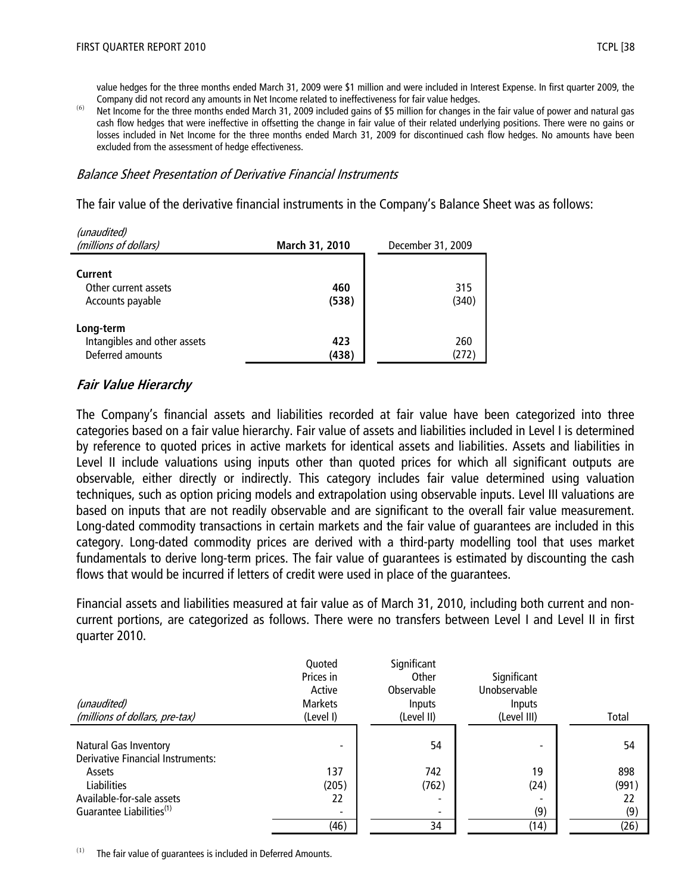value hedges for the three months ended March 31, 2009 were \$1 million and were included in Interest Expense. In first quarter 2009, the Company did not record any amounts in Net Income related to ineffectiveness for fair value hedges.

<sup>(6)</sup> Net Income for the three months ended March 31, 2009 included gains of \$5 million for changes in the fair value of power and natural gas cash flow hedges that were ineffective in offsetting the change in fair value of their related underlying positions. There were no gains or losses included in Net Income for the three months ended March 31, 2009 for discontinued cash flow hedges. No amounts have been excluded from the assessment of hedge effectiveness.

### Balance Sheet Presentation of Derivative Financial Instruments

The fair value of the derivative financial instruments in the Company's Balance Sheet was as follows:

| (unaudited)<br>(millions of dollars)                          | March 31, 2010 | December 31, 2009 |  |
|---------------------------------------------------------------|----------------|-------------------|--|
| Current<br>Other current assets<br>Accounts payable           | 460<br>(538)   | 315<br>(340)      |  |
| Long-term<br>Intangibles and other assets<br>Deferred amounts | 423<br>(438)   | 260<br>(272)      |  |

# **Fair Value Hierarchy**

The Company's financial assets and liabilities recorded at fair value have been categorized into three categories based on a fair value hierarchy. Fair value of assets and liabilities included in Level I is determined by reference to quoted prices in active markets for identical assets and liabilities. Assets and liabilities in Level II include valuations using inputs other than quoted prices for which all significant outputs are observable, either directly or indirectly. This category includes fair value determined using valuation techniques, such as option pricing models and extrapolation using observable inputs. Level III valuations are based on inputs that are not readily observable and are significant to the overall fair value measurement. Long-dated commodity transactions in certain markets and the fair value of guarantees are included in this category. Long-dated commodity prices are derived with a third-party modelling tool that uses market fundamentals to derive long-term prices. The fair value of guarantees is estimated by discounting the cash flows that would be incurred if letters of credit were used in place of the guarantees.

Financial assets and liabilities measured at fair value as of March 31, 2010, including both current and noncurrent portions, are categorized as follows. There were no transfers between Level I and Level II in first quarter 2010.

| (unaudited)<br>(millions of dollars, pre-tax) | Quoted<br>Prices in<br>Active<br><b>Markets</b><br>(Level I) | Significant<br>Other<br>Observable<br>Inputs<br>(Level II) | Significant<br>Unobservable<br><b>Inputs</b><br>(Level III) | Total |
|-----------------------------------------------|--------------------------------------------------------------|------------------------------------------------------------|-------------------------------------------------------------|-------|
| <b>Natural Gas Inventory</b>                  |                                                              | 54                                                         |                                                             | 54    |
| <b>Derivative Financial Instruments:</b>      |                                                              |                                                            |                                                             |       |
| Assets                                        | 137                                                          | 742                                                        | 19                                                          | 898   |
| <b>Liabilities</b>                            | (205)                                                        | (762)                                                      | (24)                                                        | (991) |
| Available-for-sale assets                     | 22                                                           | $\overline{\phantom{0}}$                                   |                                                             | 22    |
| Guarantee Liabilities <sup>(1)</sup>          |                                                              | $\overline{\phantom{a}}$                                   | (9)                                                         | (9)   |
|                                               | (46)                                                         | 34                                                         | (14)                                                        | (26)  |

 $(1)$  The fair value of guarantees is included in Deferred Amounts.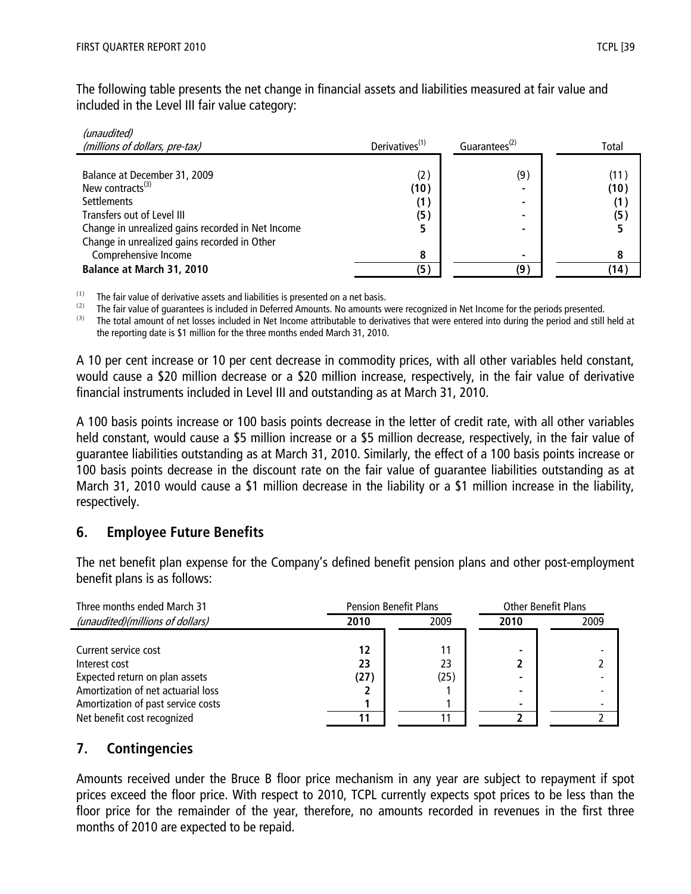The following table presents the net change in financial assets and liabilities measured at fair value and included in the Level III fair value category:

| (unaudited)<br>(millions of dollars, pre-tax)                                                                                                                                                                   | Derivatives <sup>(1)</sup> | Guarantees <sup>(2)</sup> | Total                      |
|-----------------------------------------------------------------------------------------------------------------------------------------------------------------------------------------------------------------|----------------------------|---------------------------|----------------------------|
| Balance at December 31, 2009<br>New contracts $^{(3)}$<br><b>Settlements</b><br>Transfers out of Level III<br>Change in unrealized gains recorded in Net Income<br>Change in unrealized gains recorded in Other | (2)<br>(10)<br>(1)<br>(5)  | (9)<br>-                  | (11)<br>(10)<br>(1)<br>(5) |
| Comprehensive Income<br>Balance at March 31, 2010                                                                                                                                                               | 8<br>(5)                   | (9                        | (14)                       |

 $(1)$  The fair value of derivative assets and liabilities is presented on a net basis.

 $(2)$  The fair value of guarantees is included in Deferred Amounts. No amounts were recognized in Net Income for the periods presented.

<sup>(3)</sup> The total amount of net losses included in Net Income attributable to derivatives that were entered into during the period and still held at the reporting date is \$1 million for the three months ended March 31, 2010.

A 10 per cent increase or 10 per cent decrease in commodity prices, with all other variables held constant, would cause a \$20 million decrease or a \$20 million increase, respectively, in the fair value of derivative financial instruments included in Level III and outstanding as at March 31, 2010.

A 100 basis points increase or 100 basis points decrease in the letter of credit rate, with all other variables held constant, would cause a \$5 million increase or a \$5 million decrease, respectively, in the fair value of guarantee liabilities outstanding as at March 31, 2010. Similarly, the effect of a 100 basis points increase or 100 basis points decrease in the discount rate on the fair value of guarantee liabilities outstanding as at March 31, 2010 would cause a \$1 million decrease in the liability or a \$1 million increase in the liability, respectively.

# **6. Employee Future Benefits**

The net benefit plan expense for the Company's defined benefit pension plans and other post-employment benefit plans is as follows:

| Three months ended March 31        | <b>Pension Benefit Plans</b> |      | <b>Other Benefit Plans</b> |      |
|------------------------------------|------------------------------|------|----------------------------|------|
| (unaudited)(millions of dollars)   | 2010                         | 2009 | 2010                       | 2009 |
|                                    |                              |      |                            |      |
| Current service cost               | 12                           |      |                            |      |
| Interest cost                      | 23                           | 23   |                            |      |
| Expected return on plan assets     | (27)                         | (25) |                            |      |
| Amortization of net actuarial loss |                              |      |                            |      |
| Amortization of past service costs |                              |      |                            |      |
| Net benefit cost recognized        |                              |      |                            |      |

# **7. Contingencies**

Amounts received under the Bruce B floor price mechanism in any year are subject to repayment if spot prices exceed the floor price. With respect to 2010, TCPL currently expects spot prices to be less than the floor price for the remainder of the year, therefore, no amounts recorded in revenues in the first three months of 2010 are expected to be repaid.